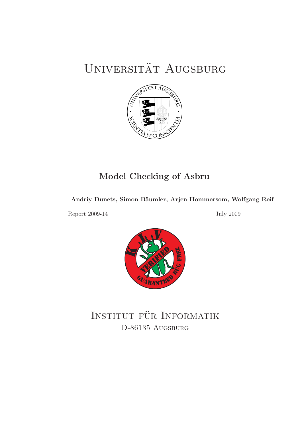# UNIVERSITÄT AUGSBURG



## Model Checking of Asbru

## Andriy Dunets, Simon Bäumler, Arjen Hommersom, Wolfgang Reif

Report 2009-14 July 2009



INSTITUT FÜR INFORMATIK D-86135 AUGSBURG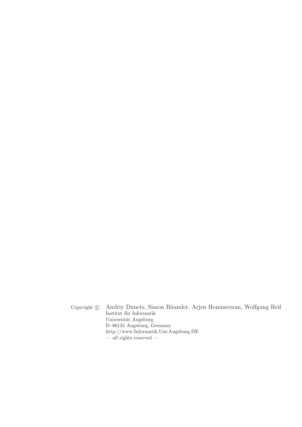Copyright © Andriy Dunets, Simon Bäumler, Arjen Hommersom, Wolfgang Reif Institut für Informatik Universität Augsburg D–86135 Augsburg, Germany http://www.Informatik.Uni-Augsburg.DE  $\overline{\phantom{a}}$  all rights reserved  $\overline{\phantom{a}}$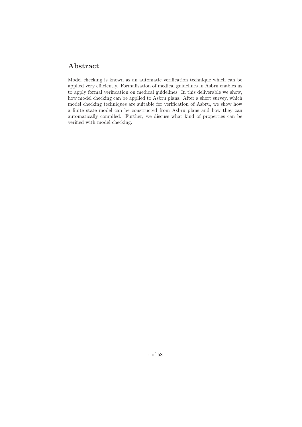## Abstract

Model checking is known as an automatic verification technique which can be applied very efficiently. Formalisation of medical guidelines in Asbru enables us to apply formal verification on medical guidelines. In this deliverable we show, how model checking can be applied to Asbru plans. After a short survey, which model checking techniques are suitable for verification of Asbru, we show how a finite state model can be constructed from Asbru plans and how they can automatically compiled. Further, we discuss what kind of properties can be verified with model checking.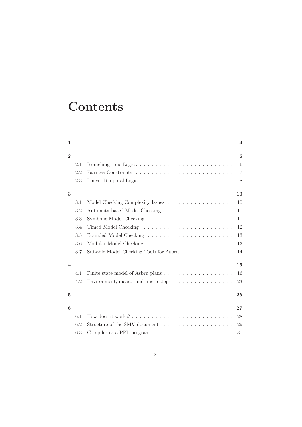# **Contents**

|     |                                         | $\overline{\mathbf{4}}$          |
|-----|-----------------------------------------|----------------------------------|
|     |                                         | 6                                |
| 2.1 | Branching-time Logic                    | 6                                |
| 2.2 |                                         | 7                                |
| 2.3 |                                         | 8                                |
|     |                                         | 10                               |
| 3.1 |                                         | 10                               |
| 3.2 | Automata based Model Checking           | 11                               |
| 3.3 |                                         | 11                               |
| 3.4 |                                         | 12                               |
| 3.5 |                                         | 13                               |
| 3.6 |                                         | 13                               |
| 3.7 | Suitable Model Checking Tools for Asbru | 14                               |
|     |                                         | 15                               |
| 4.1 |                                         | 16                               |
| 4.2 | Environment, macro- and micro-steps     | 23                               |
|     |                                         |                                  |
|     |                                         | 25                               |
|     |                                         | 27                               |
| 6.1 |                                         | 28                               |
| 6.2 | Structure of the SMV document           | 29                               |
| 6.3 |                                         | 31                               |
|     |                                         | Model Checking Complexity Issues |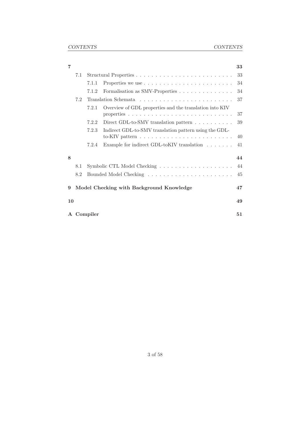| 7         |     |          |                                                                                                                                    | 33 |  |  |
|-----------|-----|----------|------------------------------------------------------------------------------------------------------------------------------------|----|--|--|
|           | 7.1 |          |                                                                                                                                    |    |  |  |
|           |     | 7.1.1    |                                                                                                                                    | 34 |  |  |
|           |     | 7.1.2    | Formalisation as SMV-Properties                                                                                                    | 34 |  |  |
|           | 7.2 |          |                                                                                                                                    |    |  |  |
|           |     | 7.2.1    | Overview of GDL properties and the translation into KIV                                                                            | 37 |  |  |
|           |     | 7.2.2    | Direct GDL-to-SMV translation pattern $\dots \dots \dots$                                                                          | 39 |  |  |
|           |     | 7.2.3    | Indirect GDL-to-SMV translation pattern using the GDL-<br>to-KIV pattern $\ldots \ldots \ldots \ldots \ldots \ldots \ldots \ldots$ | 40 |  |  |
|           |     | 7.2.4    | Example for indirect GDL-toKIV translation $\ldots \ldots$                                                                         | 41 |  |  |
| 8         |     |          |                                                                                                                                    | 44 |  |  |
| 8.1       |     |          |                                                                                                                                    | 44 |  |  |
|           | 8.2 |          |                                                                                                                                    | 45 |  |  |
| 9         |     |          | Model Checking with Background Knowledge                                                                                           | 47 |  |  |
| 10        |     |          |                                                                                                                                    | 49 |  |  |
| ${\bf A}$ |     | Compiler |                                                                                                                                    | 51 |  |  |
|           |     |          |                                                                                                                                    |    |  |  |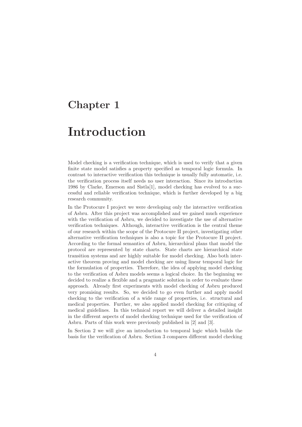## Chapter 1

## Introduction

Model checking is a verification technique, which is used to verify that a given finite state model satisfies a property specified as temporal logic formula. In contrast to interactive verification this technique is usually fully automatic, i.e. the verification process itself needs no user interaction. Since its introduction 1986 by Clarke, Emerson and Sistla[1], model checking has evolved to a successful and reliable verification technique, which is further developed by a big research community.

In the Protocure I project we were developing only the interactive verification of Asbru. After this project was accomplished and we gained much experience with the verification of Asbru, we decided to investigate the use of alternative verification techniques. Although, interactive verification is the central theme of our research within the scope of the Protocure II project, investigating other alternative verification techniques is also a topic for the Protocure II project. According to the formal semantics of Asbru, hierarchical plans that model the protocol are represented by state charts. State charts are hierarchical state transition systems and are highly suitable for model checking. Also both interactive theorem proving and model checking are using linear temporal logic for the formulation of properties. Therefore, the idea of applying model checking to the verification of Asbru models seems a logical choice. In the beginning we decided to realize a flexible and a pragmatic solution in order to evaluate these approach. Already first experiments with model checking of Asbru produced very promising results. So, we decided to go even further and apply model checking to the verification of a wide range of properties, i.e. structural and medical properties. Further, we also applied model checking for critiquing of medical guidelines. In this technical report we will deliver a detailed insight in the different aspects of model checking technique used for the verification of Asbru. Parts of this work were previously published in [2] and [3].

In Section 2 we will give an introduction to temporal logic which builds the basis for the verification of Asbru. Section 3 compares different model checking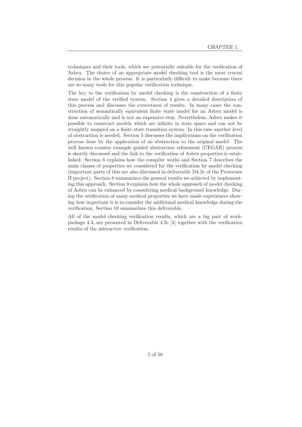techniques and their tools, which are potentially suitable for the verification of Asbru. The choice of an appropriate model checking tool is the most crucial decision in the whole process. It is particularly difficult to make because there are so many tools for this popular verification technique.

The key to the verification by model checking is the construction of a finite state model of the verified system. Section 4 gives a detailed description of this process and discusses the correctness of results. In many cases the construction of semantically equivalent finite state model for an Asbru model is done automatically and is not an expensive step. Nevertheless, Asbru makes it possible to construct models which are infinite in state space and can not be straightly mapped on a finite state transition system. In this case another level of abstraction is needed. Section 5 discusses the implications on the verification process done by the application of an abstraction to the original model. The well known counter example guided abstraction refinement (CEGAR) process is shortly discussed and the link to the verification of Asbru properties is established. Section 6 explains how the compiler works and Section 7 describes the main classes of properties we considered for the verification by model checking (important parts of this are also discussed in deliverable D4.2c of the Protocure II project). Section 8 summarizes the general results we achieved by implementing this approach. Section 9 explains how the whole approach of model checking of Asbru can be enhanced by considering medical background knowledge. During the verification of many medical properties we have made experiences showing how important it is to consider the additional medical knowledge during the verification. Section 10 summarizes this deliverable.

All of the model checking verification results, which are a big part of workpackage 4.3, are presented in Deliverable 4.2c [4] together with the verification results of the interactive verification.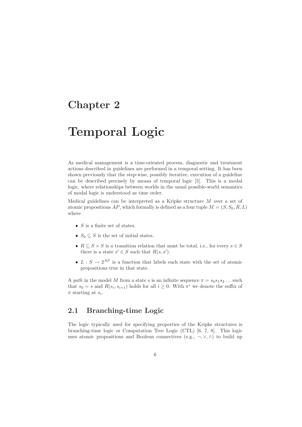## Chapter 2

# Temporal Logic

As medical management is a time-oriented process, diagnostic and treatment actions described in guidelines are performed in a temporal setting. It has been shown previously that the step-wise, possibly iterative, execution of a guideline can be described precisely by means of temporal logic [5]. This is a modal logic, where relationships between worlds in the usual possible-world semantics of modal logic is understood as time order.

Medical guidelines can be interpreted as a Kripke structure M over a set of atomic propositions AP, which formally is defined as a four tuple  $M = (S, S_0, R, L)$ where

- $S$  is a finite set of states.
- $S_0 \subseteq S$  is the set of initial states.
- $R \subseteq S \times S$  is a transition relation that must be total, i.e., for every  $s \in S$ there is a state  $s' \in S$  such that  $R(s, s')$ .
- $L : S \to 2^{AP}$  is a function that labels each state with the set of atomic propositions true in that state.

A path in the model M from a state s is an infinite sequence  $\pi = s_0 s_1 s_2 \dots$  such that  $s_0 = s$  and  $R(s_i, s_{i+1})$  holds for all  $i \geq 0$ . With  $\pi^i$  we denote the suffix of  $\pi$  starting at  $s_i$ .

### 2.1 Branching-time Logic

The logic typically used for specifying properties of the Kripke structures is branching-time logic or Computation Tree Logic (CTL) [6, 7, 8]. This logic uses atomic propositions and Boolean connectives (e.g.,  $\neg, \vee, \wedge$ ) to build up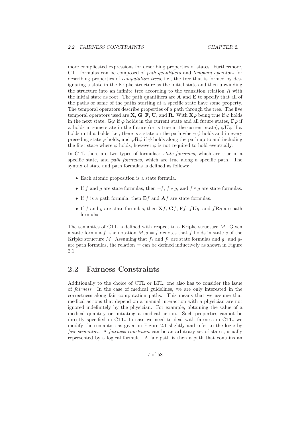more complicated expressions for describing properties of states. Furthermore, CTL formulas can be composed of path quantifiers and temporal operators for describing properties of *computation trees*, i.e., the tree that is formed by designating a state in the Kripke structure as the initial state and then unwinding the structure into an infinite tree according to the transition relation  $R$  with the initial state as root. The path quantifiers are  $A$  and  $E$  to specify that all of the paths or some of the paths starting at a specific state have some property. The temporal operators describe properties of a path through the tree. The five temporal operators used are **X**, **G**, **F**, **U**, and **R**. With  $\mathbf{X}\varphi$  being true if  $\varphi$  holds in the next state,  $\mathbf{G}\varphi$  if  $\varphi$  holds in the current state and all future states,  $\mathbf{F}\varphi$  if  $\varphi$  holds in some state in the future (or is true in the current state),  $\varphi U \psi$  if  $\varphi$ holds until  $\psi$  holds, i.e., there is a state on the path where  $\psi$  holds and in every preceding state  $\varphi$  holds, and  $\varphi \mathbf{R} \psi$  if  $\psi$  holds along the path up to and including the first state where  $\varphi$  holds, however  $\varphi$  is not required to hold eventually.

In CTL there are two types of formulas: *state formulas*, which are true in a specific state, and *path formulas*, which are true along a specific path. The syntax of state and path formulas is defined as follows:

- Each atomic proposition is a state formula.
- If f and q are state formulas, then  $\neg f$ ,  $f \vee q$ , and  $f \wedge q$  are state formulas.
- If f is a path formula, then  $Ef$  and  $Af$  are state formulas.
- If f and g are state formulas, then  $Xf$ ,  $Gf$ ,  $Ff$ ,  $fUg$ , and  $fRg$  are path formulas.

The semantics of CTL is defined with respect to a Kripke structure  $M$ . Given a state formula f, the notation  $M, s \models f$  denotes that f holds in state s of the Kripke structure M. Assuming that  $f_1$  and  $f_2$  are state formulas and  $g_1$  and  $g_2$ are path formulas, the relation  $\models$  can be defined inductively as shown in Figure 2.1.

#### 2.2 Fairness Constraints

Additionally to the choice of CTL or LTL, one also has to consider the issue of fairness. In the case of medical guidelines, we are only interested in the correctness along fair computation paths. This means that we assume that medical actions that depend on a manual interaction with a physician are not ignored indefinitely by the physician. For example, obtaining the value of a medical quantity or initiating a medical action. Such properties cannot be directly specified in CTL. In case we need to deal with fairness in CTL, we modify the semantics as given in Figure 2.1 slightly and refer to the logic by fair semantics. A fairness constraint can be an arbitrary set of states, usually represented by a logical formula. A fair path is then a path that contains an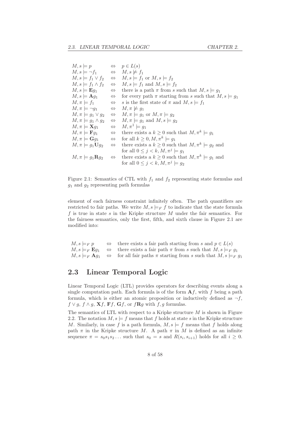| $M, s \models p$                                      |                   | $\Leftrightarrow$ $p \in L(s)$                                       |
|-------------------------------------------------------|-------------------|----------------------------------------------------------------------|
| $M, s \models \neg f_1$                               |                   | $\Leftrightarrow M, s \not\models f_1$                               |
| $M, s \models f_1 \vee f_2$                           |                   | $\Leftrightarrow M, s \models f_1 \text{ or } M, s \models f_2$      |
| $M, s \models f_1 \wedge f_2$                         |                   | $\Leftrightarrow$ $M, s \models f_1 \text{ and } M, s \models f_2$   |
| $M, s \models \mathbf{E} g_1$                         | $\Leftrightarrow$ | there is a path $\pi$ from s such that $M, s \models g_1$            |
| $M, s \models \mathbf{A} g_1$                         | $\Leftrightarrow$ | for every path $\pi$ starting from s such that $M, s \models g_1$    |
| $M, \pi \models f_1$                                  | $\Leftrightarrow$ | s is the first state of $\pi$ and $M, s \models f_1$                 |
| $M, \pi \models \neg q_1$                             |                   | $\Leftrightarrow M, \pi \not\models g_1$                             |
| $M, \pi \models g_1 \vee g_2$                         |                   | $\Leftrightarrow M, \pi \models g_1 \text{ or } M, \pi \models g_2$  |
| $M, \pi \models g_1 \land g_2$                        |                   | $\Leftrightarrow$ $M, \pi \models g_1 \text{ and } M, s \models g_2$ |
| $M, \pi \models \mathbf{X} g_1$                       |                   | $\Leftrightarrow M, \pi^1 \models q_1$                               |
| $M, \pi \models \mathbf{F} q_1$                       | $\Leftrightarrow$ | there exists a $k \geq 0$ such that $M, \pi^k \models g_1$           |
| $M, \pi \models \mathbf{G}g_1 \qquad \Leftrightarrow$ |                   | for all $k \geq 0, M, \pi^k \models g_1$                             |
| $M, \pi \models g_1 \mathbf{U} g_2$                   | $\Leftrightarrow$ | there exists a $k \geq 0$ such that $M, \pi^k \models q_2$ and       |
|                                                       |                   | for all $0 \leq j < k, M, \pi^j \models q_1$                         |
| $M, \pi \models g_1 \mathbf{R} g_2$                   | $\Leftrightarrow$ | there exists a $k \geq 0$ such that $M, \pi^k \models g_1$ and       |
|                                                       |                   | for all $0 \leq j < k, M, \pi^j \models g_2$                         |

Figure 2.1: Semantics of CTL with  $f_1$  and  $f_2$  representing state formulas and  $g_1$  and  $g_2$  representing path formulas

element of each fairness constraint infinitely often. The path quantifiers are restricted to fair paths. We write  $M, s \models_F f$  to indicate that the state formula f is true in state  $s$  in the Kripke structure  $M$  under the fair semantics. For the fairness semantics, only the first, fifth, and sixth clause in Figure 2.1 are modified into:

 $M, s \models_F p \qquad \Leftrightarrow \quad$  there exists a fair path starting from s and  $p \in L(s)$  $M, s \models_F \mathbf{E} g_1 \Leftrightarrow$  there exists a fair path  $\pi$  from s such that  $M, s \models_F g_1$  $M, s \models_F \mathbf{A} g_1 \Leftrightarrow$  for all fair paths  $\pi$  starting from s such that  $M, s \models_F g_1$ 

### 2.3 Linear Temporal Logic

Linear Temporal Logic (LTL) provides operators for describing events along a single computation path. Each formula is of the form  $\mathbf{A}f$ , with f being a path formula, which is either an atomic proposition or inductively defined as  $\neg f$ ,  $f \vee g$ ,  $f \wedge g$ ,  $\mathbf{X}f$ ,  $\mathbf{F}f$ ,  $\mathbf{G}f$ , or  $f\mathbf{R}g$  with  $f, g$  formulas.

The semantics of LTL with respect to a Kripke structure  $M$  is shown in Figure 2.2. The notation  $M, s \models f$  means that f holds at state s in the Kripke structure M. Similarly, in case f is a path formula,  $M, s \models f$  means that f holds along path  $\pi$  in the Kripke structure M. A path  $\pi$  in M is defined as an infinite sequence  $\pi = s_0 s_1 s_2 \dots$  such that  $s_0 = s$  and  $R(s_i, s_{i+1})$  holds for all  $i \geq 0$ .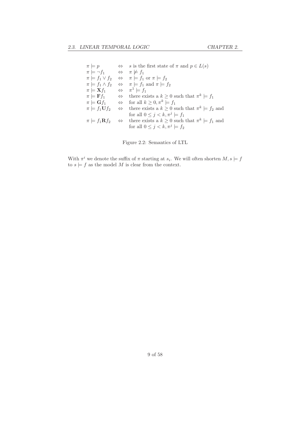$\begin{array}{ll}\n\pi \models p \quad & \Leftrightarrow \quad s \text{ is the first state of } \pi \text{ and } p \in L(s) \\
\pi \models \neg f_1 \quad & \Leftrightarrow \quad \pi \not\models f_1\n\end{array}$  $\Leftrightarrow \quad \pi \not\models f_1$  $\pi \models f_1 \lor f_2 \quad \Leftrightarrow \quad \pi \models f_1 \text{ or } \pi \models f_2$  $\pi \models f_1 \land f_2 \quad \Leftrightarrow \quad \pi \models f_1 \text{ and } \pi \models f_2$  $\pi \models \mathbf{X} f_1 \qquad \Leftrightarrow \quad \pi^1 \models f_1$  $\pi \models \mathbf{F} f_1 \qquad \Leftrightarrow \quad \text{there exists a } k \geq 0 \text{ such that } \pi^k \models f_1$  $\pi \models \mathbf{G} f_1 \qquad \Leftrightarrow \quad \text{for all } k \geq 0, \pi^k \models f_1$  $\pi \models f_1 \mathbf{U} f_2 \quad \Leftrightarrow \quad \text{there exists a } k \geq 0 \text{ such that } \pi^k \models f_2 \text{ and }$ for all  $0 \leq j < k, \pi^j \models f_1$  $\pi \models f_1 \mathbf{R} f_2 \quad \Leftrightarrow \quad \text{there exists a } k \geq 0 \text{ such that } \pi^k \models f_1 \text{ and }$ for all  $0 \leq j < k, \pi^j \models f_2$ 

Figure 2.2: Semantics of LTL

With  $\pi^i$  we denote the suffix of  $\pi$  starting at  $s_i$ . We will often shorten  $M, s \models f$ to  $s \models f$  as the model M is clear from the context.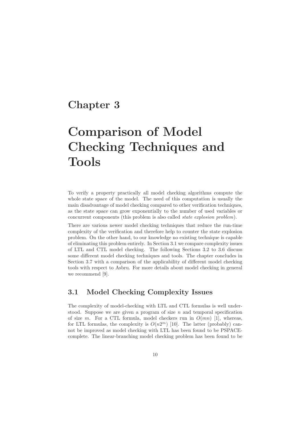## Chapter 3

# Comparison of Model Checking Techniques and Tools

To verify a property practically all model checking algorithms compute the whole state space of the model. The need of this computation is usually the main disadvantage of model checking compared to other verification techniques, as the state space can grow exponentially to the number of used variables or concurrent components (this problem is also called state explosion problem).

There are various newer model checking techniques that reduce the run-time complexity of the verification and therefore help to counter the state explosion problem. On the other hand, to our knowledge no existing technique is capable of eliminating this problem entirely. In Section 3.1 we compare complexity issues of LTL and CTL model checking. The following Sections 3.2 to 3.6 discuss some different model checking techniques and tools. The chapter concludes in Section 3.7 with a comparison of the applicability of different model checking tools with respect to Asbru. For more details about model checking in general we recommend [9].

### 3.1 Model Checking Complexity Issues

The complexity of model-checking with LTL and CTL formulas is well understood. Suppose we are given a program of size  $n$  and temporal specification of size m. For a CTL formula, model checkers run in  $O(mn)$  [1], whereas, for LTL formulas, the complexity is  $O(n2^m)$  [10]. The latter (probably) cannot be improved as model checking with LTL has been found to be PSPACEcomplete. The linear-branching model checking problem has been found to be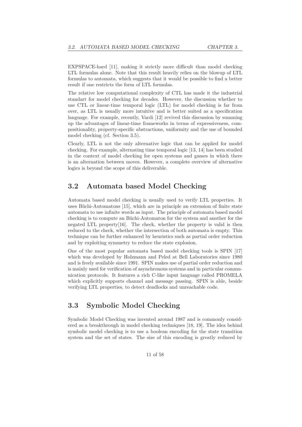EXPSPACE-hard [11], making it strictly more difficult than model checking LTL formulas alone. Note that this result heavily relies on the blowup of LTL formulas to automata, which suggests that it would be possible to find a better result if one restricts the form of LTL formulas.

The relative low computational complexity of CTL has made it the industrial standart for model checking for decades. However, the discussion whether to use CTL or linear-time temporal logic (LTL) for model checking is far from over, as LTL is usually more intuitive and is better suited as a specification language. For example, recently, Vardi [12] revived this discussion by summing up the advantages of linear-time frameworks in terms of expressiveness, compositionality, property-specific abstractions, uniformity and the use of bounded model checking (cf. Section 3.5).

Clearly, LTL is not the only alternative logic that can be applied for model checking. For example, alternating time temporal logic [13, 14] has been studied in the context of model checking for open systems and games in which there is an alternation between moves. However, a complete overview of alternative logics is beyond the scope of this deliverable.

### 3.2 Automata based Model Checking

Automata based model checking is usually used to verify LTL properties. It uses Büchi-Automatons [15], which are in principle an extension of finite state automata to use infinite words as input. The principle of automata based model checking is to compute an Büchi-Automaton for the system and another for the negated LTL property[16]. The check, whether the property is valid is then reduced to the check, whether the intersection of both automata is empty. This technique can be further enhanced by heuristics such as partial order reduction and by exploiting symmetry to reduce the state explosion.

One of the most popular automata based model checking tools is SPIN [17] which was developed by Holzmann and Peled at Bell Laboratories since 1980 and is freely available since 1991. SPIN makes use of partial order reduction and is mainly used for verification of asynchronous systems and in particular communication protocols. It features a rich C-like input language called PROMELA which explicitly supports channel and message passing. SPIN is able, beside verifying LTL properties, to detect deadlocks and unreachable code.

### 3.3 Symbolic Model Checking

Symbolic Model Checking was invented around 1987 and is commonly considered as a breakthrough in model checking techniques [18, 19]. The idea behind symbolic model checking is to use a boolean encoding for the state transition system and the set of states. The size of this encoding is greatly reduced by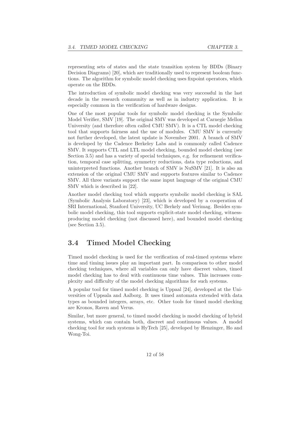representing sets of states and the state transition system by BDDs (Binary Decision Diagrams) [20], which are traditionally used to represent boolean functions. The algorithm for symbolic model checking uses fixpoint operators, which operate on the BDDs.

The introduction of symbolic model checking was very successful in the last decade in the research community as well as in industry application. It is especially common in the verification of hardware designs.

One of the most popular tools for symbolic model checking is the Symbolic Model Verifier, SMV [19]. The original SMV was developed at Carnegie Mellon University (and therefore often called CMU SMV). It is a CTL model checking tool that supports fairness and the use of modules. CMU SMV is currently not further developed, the latest update is November 2001. A branch of SMV is developed by the Cadence Berkeley Labs and is commonly called Cadence SMV. It supports CTL and LTL model checking, bounded model checking (see Section 3.5) and has a variety of special techniques, e.g. for refinement verification, temporal case splitting, symmetry reductions, data type reductions, and uninterpreted functions. Another branch of SMV is NuSMV [21]. It is also an extension of the original CMU SMV and supports features similar to Cadence SMV. All three variants support the same input language of the original CMU SMV which is described in [22].

Another model checking tool which supports symbolic model checking is SAL (Symbolic Analysis Laboratory) [23], which is developed by a cooperation of SRI International, Stanford University, UC Berkely and Verimag. Besides symbolic model checking, this tool supports explicit-state model checking, witnessproducing model checking (not discussed here), and bounded model checking (see Section 3.5).

### 3.4 Timed Model Checking

Timed model checking is used for the verification of real-timed systems where time and timing issues play an important part. In comparison to other model checking techniques, where all variables can only have discreet values, timed model checking has to deal with continuous time values. This increases complexity and difficulty of the model checking algorithms for such systems.

A popular tool for timed model checking is Uppaal [24], developed at the Universities of Uppsala and Aalborg. It uses timed automata extended with data types as bounded integers, arrays, etc. Other tools for timed model checking are Kronos, Raven and Verus.

Similar, but more general, to timed model checking is model checking of hybrid systems, which can contain both, discreet and continuous values. A model checking tool for such systems is HyTech [25], developed by Henzinger, Ho and Wong-Toi.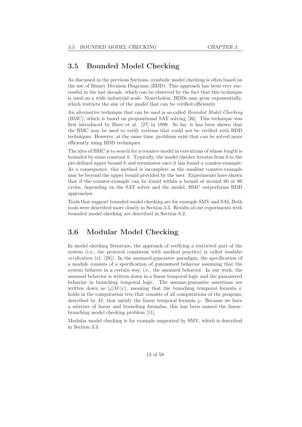### 3.5 Bounded Model Checking

As discussed in the previous Sections, symbolic model checking is often based on the use of Binary Decision Diagrams (BDD). This approach has been very successful in the last decade, which can be observed by the fact that this technique is used on a wide industrial scale. Nonetheless, BDDs may grow exponentially, which restricts the size of the model that can be verified efficiently.

An alternative technique that can be used is so-called *Bounded Model Checking* (BMC), which is based on propositional SAT solving [26]. This technique was first introduced by Biere et al. [27] in 1999. So far, it has been shown that the BMC may be used to verify systems that could not be verified with BDD techniques. However, at the same time, problems exist that can be solved more efficiently using BDD techniques.

The idea of BMC is to search for a counter-model in executions of whose length is bounded by some constant  $k$ . Typically, the model checker iterates from 0 to the pre-defined upper bound k and terminates once it has found a counter-example. As a consequence, this method is incomplete as the smallest counter-example may be beyond the upper bound provided by the user. Experiments have shown that if the counter-example can be found within a bound of around 60 or 80 cycles, depending on the SAT solver and the model, BMC outperforms BDD approaches.

Tools that support bounded model checking are for example SMV and SAL Both tools were described more closely in Section 3.3. Results of our experiments with bounded model checking are described in Section 8.2.

### 3.6 Modular Model Checking

In model checking literature, the approach of verifying a restricted part of the system (i.e., the protocol consistent with medical practice) is called *modular* verification (cf. [28]). In the assumed-guarantee paradigm, the specification of a module consists of a specification of guaranteed behavior assuming that the system behaves in a certain way, i.e., the assumed behavior. In our work, the assumed behavior is written down in a linear temporal logic and the guaranteed behavior in branching temporal logic. The assume-guarantee assertions are written down as  $\varphi M\langle\psi\rangle$ , meaning that the branching temporal formula  $\psi$ holds in the computation tree that consists of all computations of the program, described by  $M$ , that satisfy the linear temporal formula  $\varphi$ . Because we have a mixture of linear and branching formulas, this has been named the linearbranching model checking problem [11].

Modular model checking is for example supported by SMV, which is described in Section 3.3.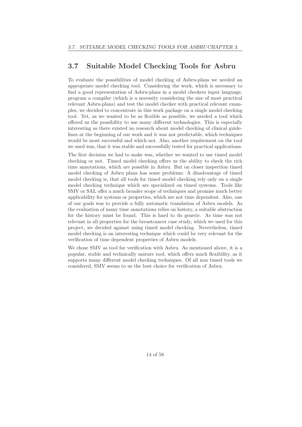### 3.7 Suitable Model Checking Tools for Asbru

To evaluate the possibilities of model checking of Asbru-plans we needed an appropriate model checking tool. Considering the work, which is necessary to find a good representation of Asbru-plans in a model checkers input language, program a compiler (which is a necessity considering the size of most practical relevant Asbru-plans) and test the model checker with practical relevant examples, we decided to concentrate in this work package on a single model checking tool. Yet, as we wanted to be as flexible as possible, we needed a tool which offered us the possibility to use many different technologies. This is especially interesting as there existed no research about model checking of clinical guidelines at the beginning of our work and it was not predictable, which techniques would be most successful and which not. Also, another requirement on the tool we used was, that it was stable and successfully tested for practical applications.

The first decision we had to make was, whether we wanted to use timed model checking or not. Timed model checking offers us the ability to check the rich time annotations, which are possible in Asbru. But on closer inspection timed model checking of Asbru plans has some problems: A disadvantage of timed model checking is, that all tools for timed model checking rely only on a single model checking technique which are specialized on timed systems. Tools like SMV or SAL offer a much broader scope of techniques and promise much better applicability for systems or properties, which are not time dependent. Also, one of our goals was to provide a fully automatic translation of Asbru models. As the evaluation of many time annotations relies on history, a suitable abstraction for the history must be found. This is hard to do generic. As time was not relevant in all properties for the breastcancer case study, which we used for this project, we decided against using timed model checking. Nevertheless, timed model checking is an interesting technique which could be very relevant for the verification of time dependent properties of Asbru models.

We chose SMV as tool for verification with Asbru. As mentioned above, it is a popular, stable and technically mature tool, which offers much flexibility, as it supports many different model checking techniques. Of all non timed tools we considered, SMV seems to us the best choice for verification of Asbru.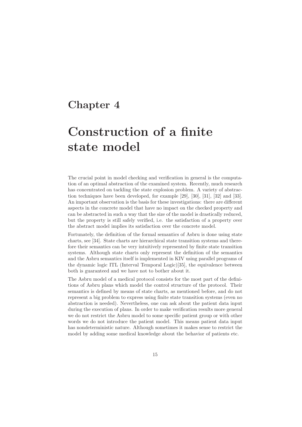## Chapter 4

# Construction of a finite state model

The crucial point in model checking and verification in general is the computation of an optimal abstraction of the examined system. Recently, much research has concentrated on tackling the state explosion problem. A variety of abstraction techniques have been developed, for example [29], [30], [31], [32] and [33]. An important observation is the basis for these investigations: there are different aspects in the concrete model that have no impact on the checked property and can be abstracted in such a way that the size of the model is drastically reduced, but the property is still safely verified, i.e. the satisfaction of a property over the abstract model implies its satisfaction over the concrete model.

Fortunately, the definition of the formal semantics of Asbru is done using state charts, see [34]. State charts are hierarchical state transition systems and therefore their semantics can be very intuitively represented by finite state transition systems. Although state charts only represent the definition of the semantics and the Asbru semantics itself is implemented in KIV using parallel programs of the dynamic logic ITL (Interval Temporal Logic)[35], the equivalence between both is guaranteed and we have not to bother about it.

The Asbru model of a medical protocol consists for the most part of the definitions of Asbru plans which model the control structure of the protocol. Their semantics is defined by means of state charts, as mentioned before, and do not represent a big problem to express using finite state transition systems (even no abstraction is needed). Nevertheless, one can ask about the patient data input during the execution of plans. In order to make verification results more general we do not restrict the Asbru model to some specific patient group or with other words we do not introduce the patient model. This means patient data input has nondeterministic nature. Although sometimes it makes sense to restrict the model by adding some medical knowledge about the behavior of patients etc.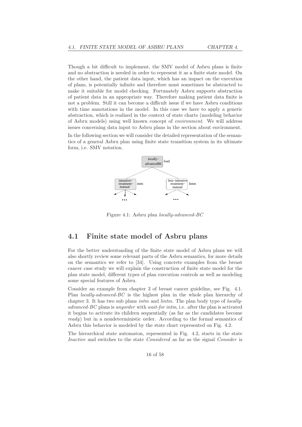Though a bit difficult to implement, the SMV model of Asbru plans is finite and no abstraction is needed in order to represent it as a finite state model. On the other hand, the patient data input, which has an impact on the execution of plans, is potentially infinite and therefore must sometimes be abstracted to make it suitable for model checking. Fortunately Asbru supports abstraction of patient data in an appropriate way. Therefore making patient data finite is not a problem. Still it can become a difficult issue if we have Asbru conditions with time annotations in the model. In this case we have to apply a generic abstraction, which is realized in the context of state charts (modeling behavior of Asbru models) using well known concept of environment. We will address issues concerning data input to Asbru plans in the section about environment.

In the following section we will consider the detailed representation of the semantics of a general Asbru plan using finite state transition system in its ultimate form, i.e. SMV notation.



Figure 4.1: Asbru plan locally-advanced-BC

### 4.1 Finite state model of Asbru plans

For the better understanding of the finite state model of Asbru plans we will also shortly review some relevant parts of the Asbru semantics, for more details on the semantics we refer to [34]. Using concrete examples from the breast cancer case study we will explain the construction of finite state model for the plan state model, different types of plan execution controls as well as modeling some special features of Asbru.

Consider an example from chapter 3 of breast cancer guideline, see Fig. 4.1. Plan locally-advanced-BC is the highest plan in the whole plan hierarchy of chapter 3. It has two sub plans *intm* and *lintm*. The plan body type of *locally*advanced-BC plans is anyorder with wait-for intm, i.e. after the plan is activated it begins to activate its children sequentially (as far as the candidates become ready) but in a nondeterministic order. According to the formal semantics of Asbru this behavior is modeled by the state chart represented on Fig. 4.2.

The hierarchical state automaton, represented in Fig. 4.2, starts in the state Inactive and switches to the state Considered as far as the signal Consider is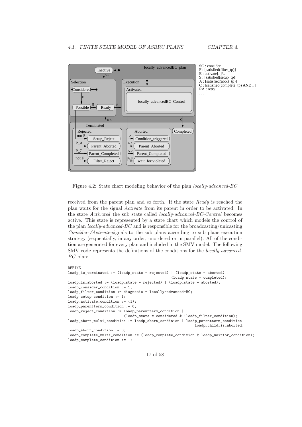

Figure 4.2: State chart modeling behavior of the plan locally-advanced-BC

received from the parent plan and so forth. If the state Ready is reached the plan waits for the signal Activate from its parent in order to be activated. In the state Activated the sub state called locally-advanced-BC-Control becomes active. This state is represented by a state chart which models the control of the plan *locally-advanced-BC* and is responsible for the broadcasting/unicasting Consider-/Activate-signals to the sub plans according to sub plans execution strategy (sequentially, in any order, unordered or in parallel). All of the condition are generated for every plan and included in the SMV model. The following SMV code represents the definitions of the conditions for the locally-advanced-BC plan:

```
DEFINE
loadp_is_terminated := (loadp_state = rejected) | (loadp_state = aborted) |
                                                (loadp_state = completed);
loadp_is_aborted := (loadp_state = rejected) | (loadp_state = aborted);
loadp_consider_condition := 1;
loadp_filter_condition := diagnosis = locally-advanced-BC;
loadp_setup_condition := 1;
loadp_activate_condition := (1);
loadp_parentterm_condition := 0;
loadp_reject_condition := loadp_parentterm_condition |
                          (loadp_state = considered & !loadp_filter_condition);
loadp_abort_multi_condition := loadp_abort_condition | loadp_parentterm_condition |
                                                           loadp_child_is_aborted;
loadp_abort_condition := 0;
loadp_complete_multi_condition := (loadp_complete_condition & loadp_waitfor_condition);
loadp_complete_condition := 1;
```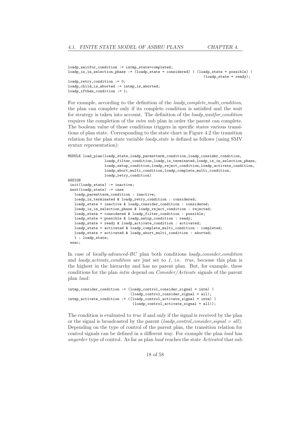```
loadp_waitfor_condition := intmp_state=completed;
loadp_is_in_selection_phase := (loadp_state = considered) | (loadp_state = possible) |
                                                                (loadp\_state = ready);loadp_retry_condition := 0;
loadp_child_is_aborted := intmp_is_aborted;
loadp_ifthen_condition := 1;
```
For example, according to the definition of the *loadp\_complete\_multi\_condition*, the plan can complete only if its complete condition is satisfied and the wait for strategy is taken into account. The definition of the *loadp\_waitfor\_condition* requires the completion of the intm sub plan in order the parent can complete. The boolean value of those conditions triggers in specific states various transitions of plan state. Corresponding to the state chart in Figure 4.2 the transition relation for the plan state variable *loadp\_state* is defined as follows (using SMV syntax representation):

```
MODULE load_plan(loadp_state,loadp_parentterm_condition,loadp_consider_condition,
                 loadp_filter_condition,loadp_is_terminated,loadp_is_in_selection_phase,
                 loadp_setup_condition,loadp_reject_condition,loadp_activate_condition,
                 loadp_abort_multi_condition,loadp_complete_multi_condition,
                 loadp_retry_condition)
ASSIGN
 init(loadp_state) := inactive;
next(loadp_state) := case
   loadp_parentterm_condition : inactive;
   loadp_is_terminated & loadp_retry_condition : considered;
  loadp_state = inactive & loadp_consider_condition : considered;
   loadp_is_in_selection_phase & loadp_reject_condition : rejected;
   loadp_state = considered & loadp_filter_condition : possible;
   loadp_state = possible & loadp_setup_condition : ready;
   loadp_state = ready & loadp_activate_condition : activated;
   loadp_state = activated & loadp_complete_multi_condition : completed;
   loadp_state = activated & loadp_abort_multi_condition : aborted;
   1 : loadp_state;
esac;
```
In case of *locally-advanced-BC* plan both conditions  $loadp\_consider\_condition$ and  $loadp\_activated\_condition$  are just set to 1, i.e. true, because this plan is the highest in the hierarchy and has no parent plan. But, for example, these conditions for the plan intm depend on Consider/Activate signals of the parent plan load:

```
intmp_consider_condition := (loadp_control_consider_signal = intm) |
                              (loadp_control_consider_signal = all);
intmp_activate_condition := ((loadp_control_activate_signal = intm) |
                               (loadp\_control\_activated\_signal = all));
```
The condition is evaluated to true if and only if the signal is received by the plan or the signal is broadcasted by the parent  $(loadp\_control\_consider\_signal = all)$ . Depending on the type of control of the parent plan, the transition relation for control signals can be defined in a different way. For example the plan load has anyorder type of control. As far as plan load reaches the state Activated that sub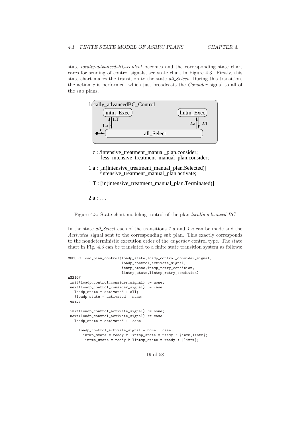state locally-advanced-BC-control becomes and the corresponding state chart cares for sending of control signals, see state chart in Figure 4.3. Firstly, this state chart makes the transition to the state *all\_Select*. During this transition, the action c is performed, which just broadcasts the Consider signal to all of the sub plans.



- less intensive treatment manual plan.consider; c : /intensive\_treatment\_manual\_plan.consider;
- 1.a : [in(intensive\_treatment\_manual\_plan.Selected)] /intensive\_treatment\_manual\_plan.activate;

1.T : [in(intensive\_treatment\_manual\_plan.Terminated)]

 $2.a : ...$ 

Figure 4.3: State chart modeling control of the plan locally-advanced-BC

In the state *all Select* each of the transitions 1.*a* and 1.*a* can be made and the Activated signal sent to the corresponding sub plan. This exactly corresponds to the nondeterministic execution order of the anyorder control type. The state chart in Fig. 4.3 can be translated to a finite state transition system as follows:

```
MODULE load_plan_control(loadp_state,loadp_control_consider_signal,
                         loadp_control_activate_signal,
                         intmp_state,intmp_retry_condition,
                         lintmp_state,lintmp_retry_condition)
ASSIGN
init(loadp_control_consider_signal) := none;
next(loadp_control_consider_signal) := case
   loadp\_state = activated : all;!loadp_state = activated : none;
 esac;
init(loadp_control_activate_signal) := none;
next(loadp_control_activate_signal) := case
   loadp_state = activated : case
     loadp_control_activate_signal = none : case
       intmp_state = ready & lintmp_state = ready : {intm,lintm};
       !intmp_state = ready & lintmp_state = ready : {lintm};
```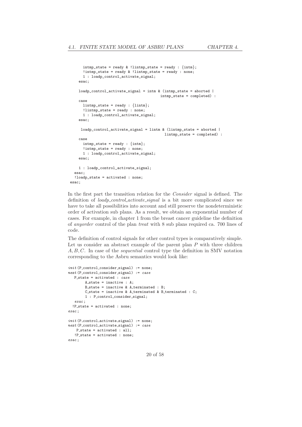```
intmp_state = ready & !lintmp_state = ready : \{int\};
      !intmp_state = ready & !lintmp_state = ready : none;
      1 : loadp_control_activate_signal;
    esac;
    loadp\_control\_active\_signal = intm \& (intmp\_state = aborted |intmp_state = completed) :
    case
      lintmp\_state = ready : \{limitm\};!lintmp state = readv : none;
      1 : loadp_control_activate_signal;
    esac;
     loadp_control_activate_signal = lintm & (lintmp_state = aborted |
                                             lintmp state = completed) :
    case
      intmp\_state = ready : \{intm\};!intmp_state = ready : none;
      1 : loadp_control_activate_signal;
    esac;
    1 : loadp_control_activate_signal;
  esac;
  !loadp_state = activated : none;
esac;
```
In the first part the transition relation for the *Consider* signal is defined. The definition of *loadp\_control\_activate\_signal* is a bit more complicated since we have to take all possibilities into account and still preserve the nondeterministic order of activation sub plans. As a result, we obtain an exponential number of cases. For example, in chapter 1 from the breast cancer guideline the definition of anyorder control of the plan treat with 8 sub plans required ca. 700 lines of code.

The definition of control signals for other control types is comparatively simple. Let us consider an abstract example of the parent plan  $P$  with three children A,B,C. In case of the sequential control type the definition in SMV notation corresponding to the Asbru semantics would look like:

```
init (P_control_consider_signal) := none;
next (P_control_consider_signal) := case
   P_{\text{.state}} = activated : case
        A_state = inactive : A;
        B_state = inactive & A_terminated : B;
        C_state = inactive & A_terminated & B_terminated : C;
        1 : P_control_consider_signal;
   esac ;
  !P_state = activated : none;
esac ;
init (P_control_activate_signal) := none;
next(P_{control\_active\_signal}) := caseP_{\text{.state}} = activated : all;
   !P_state = activated : none;
esac ;
```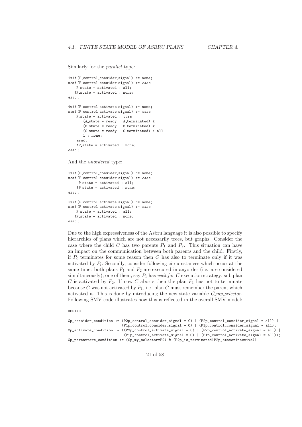Similarly for the parallel type:

```
init (P_control_consider_signal) := none;
next(P_{control_{}consider_{signal}) := caseP state = activated : all;
   !P_state = activated : none:
esac ;
init (P_control_activate_signal) := none;
next(P_control_activate_signal) := case
    P state = activated : case
       (A_state = ready | A_ terminated) &
       (B_·state = ready | B_·terminated) &(C_state = ready | C_terminated) : all
       1 : none;
    esac ;
    !P_state = activated : none;
\cos ac ;
And the unordered type:
```

```
init (P_control_consider_signal) := none;
next(P_{control\_consider\_signal}) := caseP_{\text{.state}} = activated : all;
    !P_state = activated : none;
esac ;
init (P_control_activate_signal) := none;
next(P_{control\_active\_signal}) := caseP_{\text{.state}} = activated : all;
   !P_state = activated : none;
\cos ac ;
```
Due to the high expressiveness of the Asbru language it is also possible to specify hierarchies of plans which are not necessarily trees, but graphs. Consider the case where the child C has two parents  $P_1$  and  $P_2$ . This situation can have an impact on the communication between both parents and the child. Firstly, if  $P_i$  terminates for some reason then C has also to terminate only if it was activated by  $P_i$ . Secondly, consider following circumstances which occur at the same time: both plans  $P_1$  and  $P_2$  are executed in anyorder (i.e. are considered simultaneously); one of them, say  $P_1$  has *wait for* C execution strategy; sub plan C is activated by  $P_2$ . If now C aborts then the plan  $P_1$  has not to terminate because C was not activated by  $P_1$ , i.e. plan C must remember the parent which activated it. This is done by introducing the new state variable  $C_{m}$  selector. Following SMV code illustrates how this is reflected in the overall SMV model:

#### DEFINE

```
C_{p\_consider\_condition} := (P2p\_control\_consider\_signal = C) | (P2p\_control\_consider\_signal = all) |(Phcontrol_{\text{consider\_signal}} = C) | (Phcontrol_{\text{consider\_signal}} = all);C_{p\_active\_condition} := ((P2p\_control\_activated\_signal = C) | (P2p\_control\_activated\_signal = all))(Pin\_control\_active\_signal = C) | (P1p\_control\_active\_signal = all));Cp_parentterm_condition := (Cp_my_selector=P2) & (P2p_is_terminated|P2p_state=inactive)|
```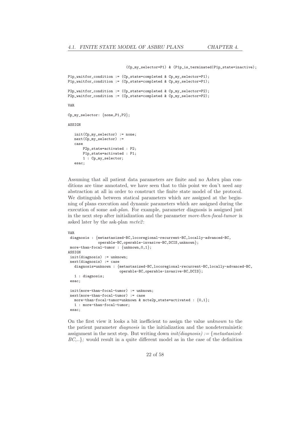(Cp\_my\_selector=P1) & (P1p\_is\_terminated|P1p\_state=inactive);

```
P1p_waitfor_condition := (Cp_state=completed & Cp_my_selector=P1);
P1p_waitfor_condition := (Cp_state=completed & Cp_my_selector=P1);
P2p_waitfor_condition := (Cp_state=completed & Cp_my_selector=P2);
P2p_waitfor_condition := (Cp_state=completed & Cp_my_selector=P2);
VAR
Cp_my_selector: {none,P1,P2};
ASSIGN
   init(Cp my selector) := none:
  next(Cp_my_selector) :=
   case
       P2p_state=activated : P2;
       P1p_state=activated : P1;
       1 : Cp_my_selector;
   esac;
```
Assuming that all patient data parameters are finite and no Asbru plan conditions are time annotated, we have seen that to this point we don't need any abstraction at all in order to construct the finite state model of the protocol. We distinguish between statical parameters which are assigned at the beginning of plans execution and dynamic parameters which are assigned during the execution of some ask-plan. For example, parameter diagnosis is assigned just in the next step after initialization and the parameter more-then-focal-tumor is asked later by the ask-plan  $mcte2$ :

```
VAR
diagnosis : {metastasized-BC,locoregional-recurrent-BC,locally-advanced-BC,
              operable-BC,operable-invasive-BC,DCIS,unknown};
more-than-focal-tumor : {unknown,0,1};
ASSIGN
init(diagnosis) := unknown;
next(diagnosis) := case
  diagnosis=unknown : {metastasized-BC,locoregional-recurrent-BC,locally-advanced-BC,
                        operable-BC,operable-invasive-BC,DCIS};
  1 : diagnosis;
esac;
 init(more-than-focal-tumor) := unknown;
next(more-than-focal-tumor) := case
  more-than-focal-tumor=unknown & mcte2p_state=activated : \{0,1\};
   1 : more-than-focal-tumor;
esac;
```
On the first view it looks a bit inefficient to assign the value unknown to the the patient parameter diagnosis in the initialization and the nondeterministic assignment in the next step. But writing down  $init(diagnosis) := \{metastasized-\}$  $BC, \ldots$ ; would result in a quite different model as in the case of the definition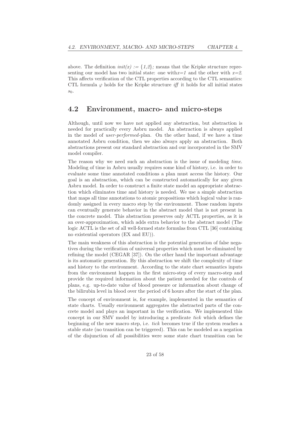above. The definition  $init(x) := \{1,2\}$ ; means that the Kripke structure representing our model has two initial state: one with  $x=1$  and the other with  $x=2$ . This affects verification of the CTL properties according to the CTL semantics: CTL formula  $\varphi$  holds for the Kripke structure *iff* it holds for all initial states  $s<sub>0</sub>$ .

### 4.2 Environment, macro- and micro-steps

Although, until now we have not applied any abstraction, but abstraction is needed for practically every Asbru model. An abstraction is always applied in the model of user-performed-plan. On the other hand, if we have a time annotated Asbru condition, then we also always apply an abstraction. Both abstractions present our standard abstraction and our incorporated in the SMV model compiler.

The reason why we need such an abstraction is the issue of modeling time. Modeling of time in Asbru usually requires some kind of history, i.e. in order to evaluate some time annotated conditions a plan must access the history. Our goal is an abstraction, which can be constructed automatically for any given Asbru model. In order to construct a finite state model an appropriate abstraction which eliminates time and history is needed. We use a simple abstraction that maps all time annotations to atomic propositions which logical value is randomly assigned in every macro step by the environment. Those random inputs can eventually generate behavior in the abstract model that is not present in the concrete model. This abstraction preserves only ACTL properties, as it is an over-approximation, which adds extra behavior to the abstract model (The logic ACTL is the set of all well-formed state formulas from CTL [36] containing no existential operators (EX and EU)).

The main weakness of this abstraction is the potential generation of false negatives during the verification of universal properties which must be eliminated by refining the model (CEGAR [37]). On the other hand the important advantage is its automatic generation. By this abstraction we shift the complexity of time and history to the environment. According to the state chart semantics inputs from the environment happen in the first micro-step of every macro-step and provide the required information about the patient needed for the controls of plans, e.g. up-to-date value of blood pressure or information about change of the bilirubin level in blood over the period of 6 hours after the start of the plan.

The concept of environment is, for example, implemented in the semantics of state charts. Usually environment aggregates the abstracted parts of the concrete model and plays an important in the verification. We implemented this concept in our SMV model by introducing a predicate tick which defines the beginning of the new macro step, i.e. tick becomes true if the system reaches a stable state (no transition can be triggered). This can be modeled as a negation of the disjunction of all possibilities were some state chart transition can be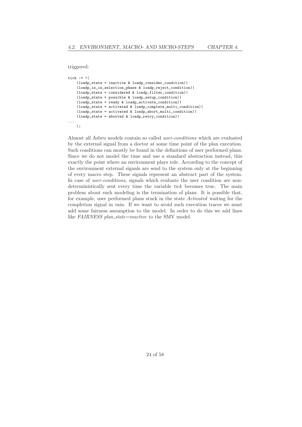triggered:

```
tick := !(
    (loadp state = inactive & loadp consider condition) |(loadp_is_in_selection_phase & loadp_reject_condition)|
    (loadp_state = considered & loadp_filter_condition)|
    (loadp_state = possible & loadp_setup_condition)|
    (loadp_state = ready & loadp_activate_condition)|
    (loadp_state = activated & loadp_complete_multi_condition)|
    (loadp_state = activated & loadp_abort_multi_condition)|
    (loadp_state = aborted & loadp_retry_condition)|
...
   );
```
Almost all Asbru models contain so called user-conditions which are evaluated by the external signal from a doctor at some time point of the plan execution. Such conditions can mostly be found in the definitions of user performed plans. Since we do not model the time and use a standard abstraction instead, this exactly the point where an environment plays role. According to the concept of the environment external signals are send to the system only at the beginning of every macro step. These signals represent an abstract part of the system. In case of *user-conditions*, signals which evaluate the user condition are nondeterministically sent every time the variable tick becomes true. The main problem about such modeling is the termination of plans. It is possible that, for example, user performed plans stuck in the state Activated waiting for the completion signal in vain. If we want to avoid such execution traces we must add some fairness assumption to the model. In order to do this we add lines like FAIRNESS plan\_state=inactive to the SMV model.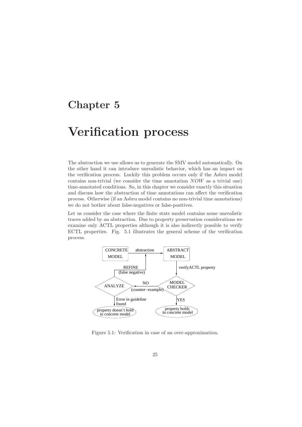## Chapter 5

## Verification process

The abstraction we use allows us to generate the SMV model automatically. On the other hand it can introduce unrealistic behavior, which has an impact on the verification process. Luckily this problem occurs only if the Asbru model contains non-trivial (we consider the time annotation NOW as a trivial one) time-annotated conditions. So, in this chapter we consider exactly this situation and discuss how the abstraction of time annotations can affect the verification process. Otherwise (if an Asbru model contains no non-trivial time annotations) we do not bother about false-negatives or false-positives.

Let us consider the case where the finite state model contains some unrealistic traces added by an abstraction. Due to property preservation considerations we examine only ACTL properties although it is also indirectly possible to verify ECTL properties. Fig. 5.1 illustrates the general scheme of the verification process.



Figure 5.1: Verification in case of an over-approximation.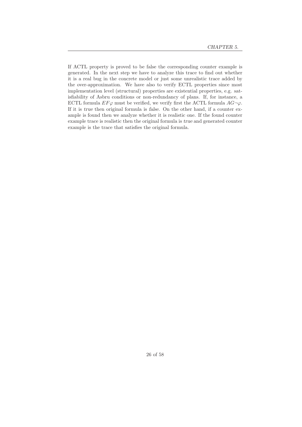If ACTL property is proved to be false the corresponding counter example is generated. In the next step we have to analyze this trace to find out whether it is a real bug in the concrete model or just some unrealistic trace added by the over-approximation. We have also to verify ECTL properties since most implementation level (structural) properties are existential properties, e.g. satisfiability of Asbru conditions or non-redundancy of plans. If, for instance, a ECTL formula  $EF\varphi$  must be verified, we verify first the ACTL formula  $AG\neg\varphi$ . If it is true then original formula is false. On the other hand, if a counter example is found then we analyze whether it is realistic one. If the found counter example trace is realistic then the original formula is true and generated counter example is the trace that satisfies the original formula.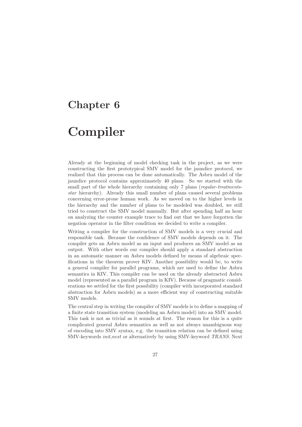## Chapter 6

# Compiler

Already at the beginning of model checking task in the project, as we were constructing the first prototypical SMV model for the jaundice protocol, we realized that this process can be done automatically. The Asbru model of the jaundice protocol contains approximately 40 plans. So we started with the small part of the whole hierarchy containing only 7 plans (regular-treatmentsstar hierarchy). Already this small number of plans caused several problems concerning error-prone human work. As we moved on to the higher levels in the hierarchy and the number of plans to be modeled was doubled, we still tried to construct the SMV model manually. But after spending half an hour on analyzing the counter example trace to find out that we have forgotten the negation operator in the filter condition we decided to write a compiler.

Writing a compiler for the construction of SMV models is a very crucial and responsible task. Because the confidence of SMV models depends on it. The compiler gets an Asbru model as an input and produces an SMV model as an output. With other words our compiler should apply a standard abstraction in an automatic manner on Asbru models defined by means of algebraic specifications in the theorem prover KIV. Another possibility would be, to write a general compiler for parallel programs, which are used to define the Asbru semantics in KIV. This compiler can be used on the already abstracted Asbru model (represented as a parallel program in KIV). Because of pragmatic considerations we settled for the first possibility (compiler with incorporated standard abstraction for Asbru models) as a more efficient way of constructing suitable SMV models.

The central step in writing the compiler of SMV models is to define a mapping of a finite state transition system (modeling an Asbru model) into an SMV model. This task is not as trivial as it sounds at first. The reason for this is a quite complicated general Asbru semantics as well as not always unambiguous way of encoding into SMV syntax, e.g. the transition relation can be defined using SMV-keywords init,next or alternatively by using SMV-keyword TRANS. Next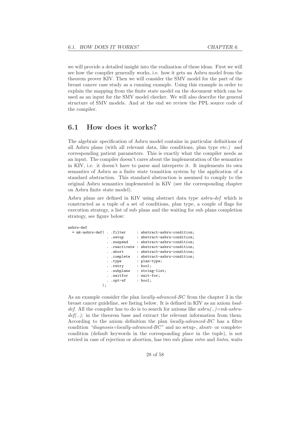we will provide a detailed insight into the realization of these ideas. First we will see how the compiler generally works, i.e. how it gets an Asbru model from the theorem prover KIV. Then we will consider the SMV model for the part of the breast cancer case study as a running example. Using this example in order to explain the mapping from the finite state model on the document which can be used as an input for the SMV model checker. We will also describe the general structure of SMV models. And at the end we review the PPL source code of the compiler.

### 6.1 How does it works?

The algebraic specification of Asbru model contains in particular definitions of all Asbru plans (with all relevant data, like conditions, plan type etc.) and corresponding patient parameters. This is exactly what the compiler needs as an input. The compiler doesn't cares about the implementation of the semantics in KIV, i.e. it doesn't have to parse and interprete it. It implements its own semantics of Asbru as a finite state transition system by the application of a standard abstraction. This standard abstraction is assumed to comply to the original Asbru semantics implemented in KIV (see the corresponding chapter on Asbru finite state model).

Asbru plans are defined in KIV using abstract data type asbru-def which is constructed as a tuple of a set of conditions, plan type, a couple of flags for execution strategy, a list of sub plans and the waiting for sub plans completion strategy, see figure below:

#### asbru-def

```
= mk-asbru-def( . .filter : abstract-asbru-condition;
               . . setup : abstract-asbru-condition;
               . .suspend : abstract-asbru-condition;
               . .reactivate : abstract-asbru-condition;
               ..abort : abstract-asbru-condition;
               . .complete : abstract-asbru-condition;
               . .type : plan-type;
               . .retry : bool;
                . .subplans : string-list;
                . .waitfor : wait-for;
                . .opt-wf : bool;
             );
```
As an example consider the plan locally-advanced-BC from the chapter 3 in the breast cancer guideline, see listing below. It is defined in KIV as an axiom loaddef. All the compiler has to do is to search for axioms like  $asbru$ ...  $=mk-asbru$  $def(\ldots)$ ; in the theorem base and extract the relevant information from them. According to the axiom definition the plan locally-advanced-BC has a filter condition "diagnosis=locally-advanced-BC" and no setup-, abort- or completecondition (default keywords in the corresponding place in the tuple), is not retried in case of rejection or abortion, has two sub plans intm and lintm, waits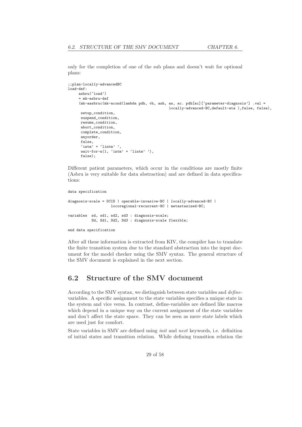only for the completion of one of the sub plans and doesn't wait for optional plans:

```
;;plan-locally-advancedBC
load-def:
     asbru('load')
     = mk-asbru-def
     (mk-aasbruc(mk-acond(lambda pdh, vh, ash, as, ac. pdh[ac]['parameter-diagnosis'] .val =
                                                locally-advanced-BC,default-ata ),false, false),
      setup_condition,
      suspend_condition,
      resume_condition,
      abort_condition,
      complete_condition,
      anyorder,
      false,
      'intm' + 'lintm' ',
      wait-for-n(1, 'intm' + 'lintm' '),
      false);
```
Different patient parameters, which occur in the conditions are mostly finite (Asbru is very suitable for data abstraction) and are defined in data specifications:

```
data specification
diagnosis-scale = DCIS | operable-invasive-BC | locally-advanced-BC |
                    locoregional-recurrent-BC | metastasized-BC;
variables sd, sd1, sd2, sd3 : diagnosis-scale;
           Sd, Sd1, Sd2, Sd3 : diagnosis-scale flexible;
end data specification
```
After all these information is extracted from KIV, the compiler has to translate the finite transition system due to the standard abstraction into the input document for the model checker using the SMV syntax. The general structure of the SMV document is explained in the next section.

### 6.2 Structure of the SMV document

According to the SMV syntax, we distinguish between state variables and definevariables. A specific assignment to the state variables specifies a unique state in the system and vice versa. In contrast, define-variables are defined like macros which depend in a unique way on the current assignment of the state variables and don't affect the state space. They can be seen as mere state labels which are used just for comfort.

State variables in SMV are defined using init and next keywords, i.e. definition of initial states and transition relation. While defining transition relation the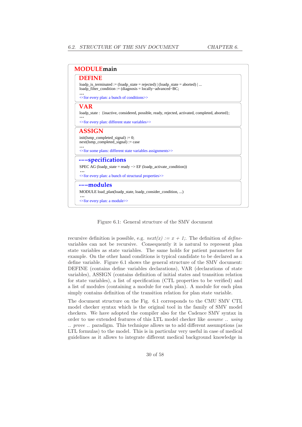| <b>DEFINE</b>                                                                                                                                                     |  |  |
|-------------------------------------------------------------------------------------------------------------------------------------------------------------------|--|--|
| loadp is terminated := (loadp state = rejected) $ $ (loadp state = aborted) $  \dots$<br>$loadp_{\text{u}}$ filter_condition := (diagnosis = locally-advanced-BC; |  |  |
| << for every plan: a bunch of conditions>>                                                                                                                        |  |  |
| <b>VAR</b>                                                                                                                                                        |  |  |
| loadp_state: {inactive, considered, possible, ready, rejected, activated, completed, aborted};                                                                    |  |  |
| << for every plan: different state variables >>                                                                                                                   |  |  |
| <b>ASSIGN</b>                                                                                                                                                     |  |  |
| $init(lsmp\_completed\_signal) := 0;$<br>$next(lsmp\_completed\_signal) := case$                                                                                  |  |  |
| << for some plans: different state variables assignments >>                                                                                                       |  |  |
| ---specifications                                                                                                                                                 |  |  |
| SPEC AG (loadp_state = ready $\rightarrow$ EF (loadp_activate_condition))                                                                                         |  |  |
| << for every plan: a bunch of structural properties >>                                                                                                            |  |  |
| ---modules                                                                                                                                                        |  |  |
| MODULE load_plan(loadp_state, loadp_consider_condition, )                                                                                                         |  |  |
|                                                                                                                                                                   |  |  |

Figure 6.1: General structure of the SMV document

recursive definition is possible, e.g.  $next(x) := x + 1$ . The definition of *define*variables can not be recursive. Consequently it is natural to represent plan state variables as state variables. The same holds for patient parameters for example. On the other hand conditions is typical candidate to be declared as a define variable. Figure 6.1 shows the general structure of the SMV document: DEFINE (contains define variables declarations), VAR (declarations of state variables), ASSIGN (contains definition of initial states and transition relation for state variables), a list of specification (CTL properties to be verified) and a list of modules (containing a module for each plan). A module for each plan simply contains definition of the transition relation for plan state variable.

The document structure on the Fig. 6.1 corresponds to the CMU SMV CTL model checker syntax which is the original tool in the family of SMV model checkers. We have adopted the compiler also for the Cadence SMV syntax in order to use extended features of this LTL model checker like assume .. using .. prove .. paradigm. This technique allows us to add different assumptions (as LTL formulas) to the model. This is in particular very useful in case of medical guidelines as it allows to integrate different medical background knowledge in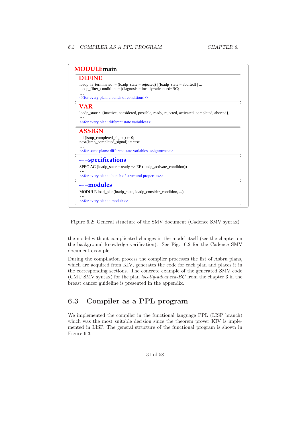| <b>MODULE</b> main                                                                                                                                                 |  |  |
|--------------------------------------------------------------------------------------------------------------------------------------------------------------------|--|--|
| DEFINE                                                                                                                                                             |  |  |
| loadp is terminated := $\Delta$ (loadp state = rejected)   $\Delta$ (loadp state = aborted)  <br>$loadp_fitter\_condition := (diagnostic = locally-advanced - BC;$ |  |  |
| << for every plan: a bunch of conditions>>                                                                                                                         |  |  |
| <b>VAR</b>                                                                                                                                                         |  |  |
| loadp_state: {inactive, considered, possible, ready, rejected, activated, completed, aborted};                                                                     |  |  |
| << for every plan: different state variables >>                                                                                                                    |  |  |
| <b>ASSIGN</b>                                                                                                                                                      |  |  |
| $init(lsmp\_completed\_signal) := 0;$                                                                                                                              |  |  |
| $next(lsmp\_completed\_signal) := case$                                                                                                                            |  |  |
| << for some plans: different state variables assignments >>                                                                                                        |  |  |
| ---specifications                                                                                                                                                  |  |  |
| SPEC AG (loadp state = ready $\rightarrow$ EF (loadp activate condition))                                                                                          |  |  |
| << for every plan: a bunch of structural properties >>                                                                                                             |  |  |
|                                                                                                                                                                    |  |  |
| ---modules                                                                                                                                                         |  |  |
| MODULE load_plan(loadp_state, loadp_consider_condition, )                                                                                                          |  |  |
| << for every plan: a module >>                                                                                                                                     |  |  |

Figure 6.2: General structure of the SMV document (Cadence SMV syntax)

the model without complicated changes in the model itself (see the chapter on the background knowledge verification). See Fig. 6.2 for the Cadence SMV document example.

During the compilation process the compiler processes the list of Asbru plans, which are acquired from KIV, generates the code for each plan and places it in the corresponding sections. The concrete example of the generated SMV code (CMU SMV syntax) for the plan locally-advanced-BC from the chapter 3 in the breast cancer guideline is presented in the appendix.

## 6.3 Compiler as a PPL program

We implemented the compiler in the functional language PPL (LISP branch) which was the most suitable decision since the theorem prover KIV is implemented in LISP. The general structure of the functional program is shown in Figure 6.3.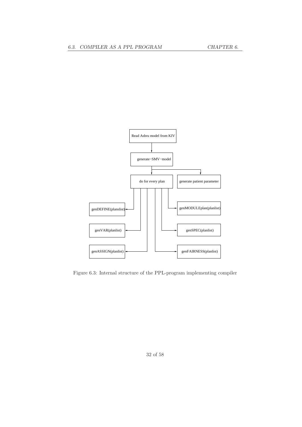

Figure 6.3: Internal structure of the PPL-program implementing compiler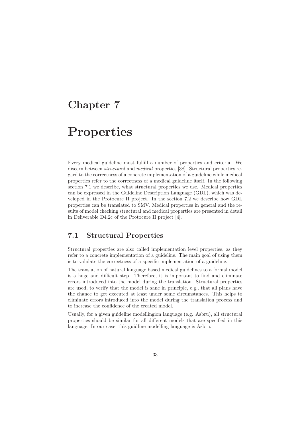## Chapter 7

## Properties

Every medical guideline must fulfill a number of properties and criteria. We discern between *structural* and *medical* properties [38]. Structural properties regard to the correctness of a concrete implementation of a guideline while medical properties refer to the correctness of a medical guideline itself. In the following section 7.1 we describe, what structural properties we use. Medical properties can be expressed in the Guideline Description Language (GDL), which was developed in the Protocure II project. In the section 7.2 we describe how GDL properties can be translated to SMV. Medical properties in general and the results of model checking structural and medical properties are presented in detail in Deliverable D4.2c of the Protocure II project [4].

### 7.1 Structural Properties

Structural properties are also called implementation level properties, as they refer to a concrete implementation of a guideline. The main goal of using them is to validate the correctness of a specific implementation of a guideline.

The translation of natural language based medical guidelines to a formal model is a huge and difficult step. Therefore, it is important to find and eliminate errors introduced into the model during the translation. Structural properties are used, to verify that the model is sane in principle, e.g., that all plans have the chance to get executed at least under some circumstances. This helps to eliminate errors introduced into the model during the translation process and to increase the confidence of the created model.

Usually, for a given guideline modellingion language (e.g. Asbru), all structural properties should be similar for all different models that are specified in this language. In our case, this guidline modelling language is Asbru.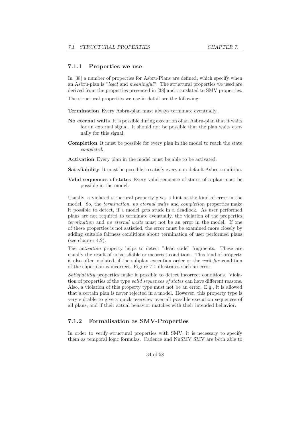#### 7.1.1 Properties we use

In [38] a number of properties for Asbru-Plans are defined, which specify when an Asbru-plan is "legal and meaningful". The structural properties we used are derived from the properties presented in [38] and translated to SMV properties.

The structural properties we use in detail are the following:

Termination Every Asbru-plan must always terminate eventually.

- No eternal waits It is possible during execution of an Asbru-plan that it waits for an external signal. It should not be possible that the plan waits eternally for this signal.
- Completion It must be possible for every plan in the model to reach the state completed.
- Activation Every plan in the model must be able to be activated.
- Satisfiability It must be possible to satisfy every non-default Asbru-condition.
- Valid sequences of states Every valid sequence of states of a plan must be possible in the model.

Usually, a violated structural property gives a hint at the kind of error in the model. So, the termination, no eternal waits and completion properties make it possible to detect, if a model gets stuck in a deadlock. As user performed plans are not required to terminate eventually, the violation of the properties termination and no eternal waits must not be an error in the model. If one of these properties is not satisfied, the error must be examined more closely by adding suitable fairness conditions about termination of user performed plans (see chapter 4.2).

The activation property helps to detect "dead code" fragments. These are usually the result of unsatisfiable or incorrect conditions. This kind of property is also often violated, if the subplan execution order or the wait-for condition of the superplan is incorrect. Figure 7.1 illustrates such an error.

Satisfiability properties make it possible to detect incorrect conditions. Violation of properties of the type valid sequences of states can have different reasons. Also, a violation of this property type must not be an error. E.g., it is allowed that a certain plan is never rejected in a model. However, this property type is very suitable to give a quick overview over all possible execution sequences of all plans, and if their actual behavior matches with their intended behavior.

#### 7.1.2 Formalisation as SMV-Properties

In order to verify structural properties with SMV, it is necessary to specify them as temporal logic formulas. Cadence and NuSMV SMV are both able to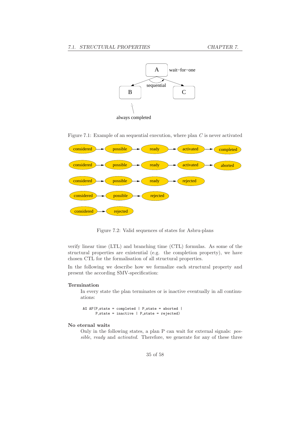

Figure 7.1: Example of an sequential execution, where plan  $C$  is never activated



Figure 7.2: Valid sequences of states for Asbru-plans

verify linear time (LTL) and branching time (CTL) formulas. As some of the structural properties are existential (e.g. the completion property), we have chosen CTL for the formalisation of all structural properties.

In the following we describe how we formalize each structural property and present the according SMV-specification:

#### Termination

In every state the plan terminates or is inactive eventually in all continuations:

AG  $AF(P\_state = completed | P\_state = aborted |$  $P_{\text{.state}} = \text{inactive}$  | P\_state = rejected)

#### No eternal waits

Only in the following states, a plan P can wait for external signals: possible, ready and activated. Therefore, we generate for any of these three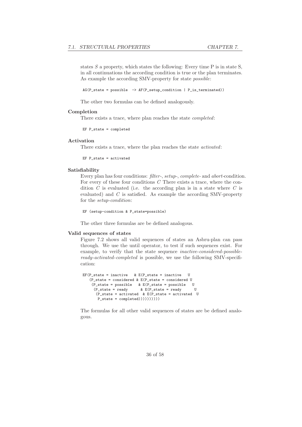states  $S$  a property, which states the following: Every time  $P$  is in state  $S$ , in all continuations the according condition is true or the plan terminates. As example the according SMV-property for state possible:

 $AG(P_{\text{.state}} = \text{possible} \rightarrow AF(P_{\text{.setup\_condition}} | P_{\text{.is\_terminated}}) )$ 

The other two formulas can be defined analogously.

#### Completion

There exists a trace, where plan reaches the state completed:

```
EF P_state = completed
```
#### Activation

There exists a trace, where the plan reaches the state activated:

EF  $P_$ state = activated

#### Satisfiability

Every plan has four conditions: filter-, setup-, complete- and abort-condition. For every of these four conditions  $C$  There exists a trace, where the condition  $C$  is evaluated (i.e. the according plan is in a state where  $C$  is evaluated) and  $C$  is satisfied. As example the according SMV-property for the setup-condition:

```
EF (setup-condition & P_state=possible)
```
The other three formulas are be defined analogous.

#### Valid sequences of states

Figure 7.2 shows all valid sequences of states an Asbru-plan can pass through. We use the until operator, to test if such sequences exist. For example, to verify that the state sequence inactive-considered-possibleready-activated-completed is possible, we use the following SMV-specification:

```
EF(P_{\text{.}}state = inactive \& E(P_{\text{.}}state = inactive)(P_{static} = \text{considered } \& E(P_{static} = \text{considered } U)(P_{\text{1}} \text{state} = \text{possible} \quad \& \quad E(P_{\text{1}} \text{state} = \text{peadv})<br>
(P_{\text{2}} \text{state} = \text{readv} \quad \& \quad E(P_{\text{2}} \text{state} = \text{readv})\& E(P state = ready U
           (P_state = activated & E(P_state = activated U
            P_state = completed))))))))))
```
The formulas for all other valid sequences of states are be defined analogous.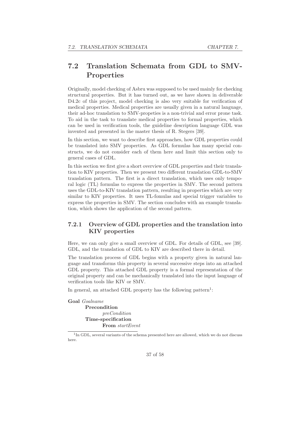## 7.2 Translation Schemata from GDL to SMV-Properties

Originally, model checking of Asbru was supposed to be used mainly for checking structural properties. But it has turned out, as we have shown in deliverable D4.2c of this project, model checking is also very suitable for verification of medical properties. Medical properties are usually given in a natural language, their ad-hoc translation to SMV-propeties is a non-trivial and error prone task. To aid in the task to translate medical properties to formal properties, which can be used in verification tools, the guideline description language GDL was invented and presented in the master thesis of R. Stegers [39].

In this section, we want to describe first approaches, how GDL properties could be translated into SMV properties. As GDL formulas has many special constructs, we do not consider each of them here and limit this section only to general cases of GDL.

In this section we first give a short overview of GDL properties and their translation to KIV properties. Then we present two different translation GDL-to-SMV translation pattern. The first is a direct translation, which uses only temporal logic (TL) formulas to express the properties in SMV. The second pattern uses the GDL-to-KIV translation pattern, resulting in properties which are very similar to KIV properties. It uses TL-fomulas and special trigger variables to express the properties in SMV. The section concludes with an example translation, which shows the application of the second pattern.

### 7.2.1 Overview of GDL properties and the translation into KIV properties

Here, we can only give a small overview of GDL. For details of GDL, see [39]. GDL, and the translation of GDL to KIV are described there in detail.

The translation process of GDL begins with a property given in natural language and transforms this property in several successive steps into an attached GDL property. This attached GDL property is a formal representation of the original property and can be mechanically translated into the input language of verification tools like KIV or SMV.

In general, an attached GDL property has the following pattern<sup>1</sup>:

Goal Goalname Precondition preCondition Time-specification From startEvent

<sup>1</sup>In GDL, several variants of the schema presented here are allowed, which we do not discuss here.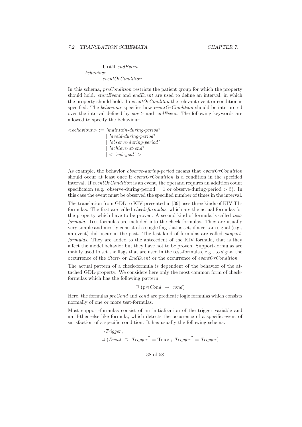#### Until endEvent behaviour eventOrCondition

In this schema, preCondition restricts the patient group for which the property should hold. *startEvent* and *endEvent* are used to define an interval, in which the property should hold. In event $OrCondition$  the relevant event or condition is specified. The behaviour specifies how eventOrCondition should be interpreted over the interval defined by start- and endEvent. The following keywords are allowed to specify the behaviour:

 $\langle \text{dehaviour} \rangle := \text{'maintain-during-period'}$ | 'avoid-during-period' | 'observe-during-period' | 'achieve-at-end'  $|$  < 'sub-goal' >

As example, the behavior *observe-during-period* means that *eventOrCondition* should occur at least once if *eventOrCondition* is a condition in the specified interval. If eventOrCondition is an event, the operand requires an addition count specificaion (e.g. observe-during-period  $= 1$  or observe-during-period  $> 5$ ). In this case the event must be observed the specified number of times in the interval.

The translation from GDL to KIV presented in [39] uses three kinds of KIV TLformulas. The first are called check-formulas, which are the actual formulas for the property which have to be proven. A second kind of formula is called testformula. Test-formulas are included into the check-formulas. They are usually very simple and mostly consist of a single flag that is set, if a certain signal (e.g., an event) did occur in the past. The last kind of formulas are called supportformulas. They are added to the antecedent of the KIV formula, that is they affect the model behavior but they have not to be proven. Support-formulas are mainly used to set the flags that are used in the test-formulas, e.g., to signal the occurrence of the Start- or EndEvent or the occurrence of eventOrCondition.

The actual pattern of a check-formula is dependent of the behavior of the attached GDL-property. We considere here only the most common form of checkformulas which has the following pattern:

 $\Box$  (preCond  $\rightarrow$  cond)

Here, the formulas  $preCond$  and cond are predicate logic formulas which consists normally of one or more test-formulas.

Most support-formulas consist of an initialization of the trigger variable and an if-then-else like formula, which detects the occurence of a specific event of satisfaction of a specific condition. It has usually the following schema:

> $\neg Triager$ ,  $\Box$  (Event  $\Box$  Trigger" = **True**; Trigger" = Trigger)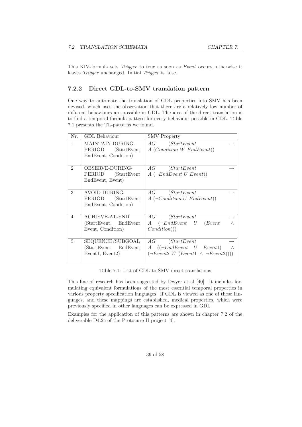This KIV-formula sets Trigger to true as soon as Event occurs, otherwise it leaves Trigger unchanged. Initial Trigger is false.

#### 7.2.2 Direct GDL-to-SMV translation pattern

One way to automate the translation of GDL properties into SMV has been devised, which uses the observation that there are a relatively low number of different behaviours are possible in GDL. The idea of the direct translation is to find a temporal formula pattern for every behaviour possible in GDL. Table 7.1 presents the TL-patterns we found.

| Nr.            | <b>GDL</b> Behaviour                                                                      | <b>SMV</b> Property                                                                                                                                         |
|----------------|-------------------------------------------------------------------------------------------|-------------------------------------------------------------------------------------------------------------------------------------------------------------|
| 1              | MAINTAIN-DURING-<br>PERIOD (StartEvent,<br>EndEvent, Condition)                           | AG (StartEvent<br>$A$ ( <i>Condition W EndEvent</i> ))                                                                                                      |
| $\mathfrak{D}$ | <b>OBSERVE-DURING-</b><br>PERIOD (StartEvent,<br>EndEvent, Event)                         | AG (StartEvent<br>$A(\neg EndEvent \; U \; Event))$                                                                                                         |
| 3              | AVOID-DURING-<br>PERIOD (StartEvent,<br>EndEvent, Condition)                              | $AG$ ( <i>StartEvent</i> )<br>$A(\neg Condition U EndEvent))$                                                                                               |
| $\overline{4}$ | <b>ACHIEVE-AT-END</b><br>(StartEvent, EndEvent,<br>Event, Condition)                      | AG (StartEvent<br>$\longrightarrow$<br>$A \quad (\neg EndEvent \quad U \quad (Event$<br>$\wedge$<br>Condition))                                             |
| 5              | SEQUENCE/SUBGOAL<br>(StartEvent, EndEvent,<br>Event <sub>1</sub> , Event <sub>2</sub> $)$ | $AG$ ( <i>StartEvent</i> )<br>$\rightarrow$<br>$A \quad ((\neg EndEvent \quad U \quad Event1)$<br>$\wedge$<br>$(\neg Event2 W (Event1 \land \neg Event2)))$ |

Table 7.1: List of GDL to SMV direct translations

This line of research has been suggested by Dwyer et al [40]. It includes formulating equivalent formulations of the most essential temporal properties in various property specification languages. If GDL is viewed as one of these languages, and these mappings are established, medical properties, which were previously specified in other languages can be expressed in GDL.

Examples for the application of this patterns are shown in chapter 7.2 of the deliverable D4.2c of the Protocure II project [4].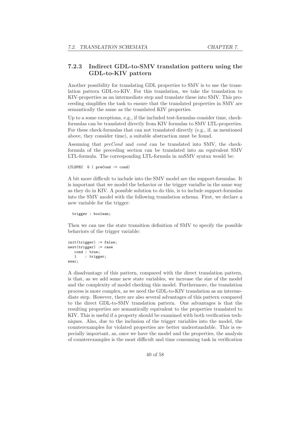#### 7.2.3 Indirect GDL-to-SMV translation pattern using the GDL-to-KIV pattern

Another possibility for translating GDL properties to SMV is to use the translation pattern GDL-to-KIV. For this translation, we take the translation to KIV-properties as an intermediate step and translate these into SMV. This proceeding simplifies the task to ensure that the translated properties in SMV are semantically the same as the translated KIV properties.

Up to a some exceptions, e.g., if the included test-formulas consider time, checkformulas can be translated directly from KIV formulas to SMV LTL-properties. For these check-formulas that can not translated directly (e.g., if, as mentioned above, they consider time), a suitable abstraction must be found.

Assuming that preCond and cond can be translated into SMV, the checkformula of the preceding section can be translated into an equivalent SMV LTL-formula. The corresponding LTL-formula in nuSMV syntax would be:

```
LTLSPEC G ( preCond -> cond)
```
A bit more difficult to include into the SMV model are the support-formulas. It is important that we model the behavior or the trigger varialbe in the same way as they do in KIV. A possible solution to do this, is to include support-formulas into the SMV model with the following translation schema. First, we declare a new variable for the trigger:

trigger : boolean;

Then we can use the state transition definition of SMV to specify the possible behaviors of the trigger variable:

```
init(trigger) := false;
next(trigger) := case
   cond : true;
   1 : trigger;
esac;
```
A disadvantage of this pattern, compared with the direct translation pattern, is that, as we add some new state variables, we increase the size of the model and the complexity of model checking this model. Furthermore, the translation process is more complex, as we need the GDL-to-KIV translation as an intermediate step. However, there are also several advantages of this pattern compared to the direct GDL-to-SMV translation pattern. One advantages is that the resulting properties are semantically equivalent to the properties translated to KIV. This is useful if a property should be examined with both verification techniques. Also, due to the inclusion of the trigger variables into the model, the counterexamples for violated properties are better understandable. This is especially important, as, once we have the model and the properties, the analysis of counterexamples is the most difficult and time consuming task in verification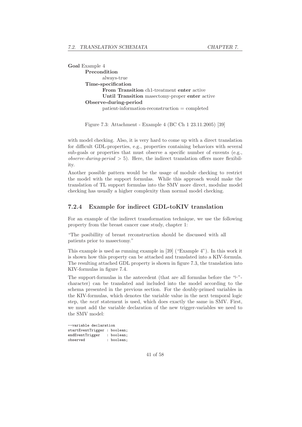Goal Example 4 Precondition always-true Time-specification From Transition ch1-treatment enter active Until Transition masectomy-proper enter active Observe-during-period patient-information-reconstruction = completed

Figure 7.3: Attachment - Example 4 (BC Ch 1 23.11.2005) [39]

with model checking. Also, it is very hard to come up with a direct translation for difficult GDL-properties, e.g., properties containing behaviors with several sub-goals or properties that must observe a specific number of envents (e.g., observe-during-period  $> 5$ ). Here, the indirect translation offers more flexibility.

Another possible pattern would be the usage of module checking to restrict the model with the support formulas. While this approach would make the translation of TL support formulas into the SMV more direct, modular model checking has usually a higher complexity than normal model checking.

#### 7.2.4 Example for indirect GDL-toKIV translation

For an example of the indirect transformation technique, we use the following property from the breast cancer case study, chapter 1:

"The posibillity of breast reconstruction should be discussed with all patients prior to masectomy."

This example is used as running example in [39] ("Example 4"). In this work it is shown how this property can be attached and translated into a KIV-formula. The resulting attached GDL property is shown in figure 7.3, the translation into KIV-formulas in figure 7.4.

The support-formulas in the antecedent (that are all formulas before the "⊢" character) can be translated and included into the model according to the schema presented in the previous section. For the doubly-primed variables in the KIV-formulas, which denotes the variable value in the next temporal logic step, the next statement is used, which does exactly the same in SMV. First, we must add the variable declaration of the new trigger-variables we need to the SMV model:

--variable declaration startEventTrigger : boolean; endEventTrigger : boolean; observed : boolean;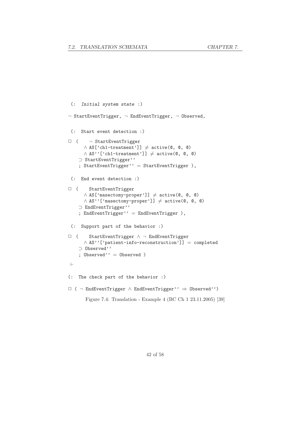```
(: Initial system state :)
\neg StartEventTrigger, \neg EndEventTrigger, \neg Observed,
 (: Start event detection :)
□ ( \neg StartEventTrigger
       \land AS['ch1-treatment']] \neq active(\textcircled{e}, \textcircled{e}, \textcircled{e})
       \wedge AS''['ch1-treatment']] \neq active(\mathcal{O}, \mathcal{O})
    ⊃ StartEventTrigger''
    ; StartEventTrigger'' = StartEventTrigger ),
 (: End event detection :)
✷ ( StartEventTrigger
       \land AS['masectomy-proper']] \neq active(\textcircled{\tiny{0}}, \textcircled{\tiny{0}})
       \land AS''['masectomy-proper']] \neq active(\texttt{@}, \texttt{@}, \texttt{@})⊃ EndEventTrigger''
    ; EndEventTrigger'' = EndEventTrigger ),
 (: Support part of the behavior :)
✷ ( StartEventTrigger ∧ ¬ EndEventTrigger
       ∧ AS''['patient-info-reconstruction']] = completed
    ⊃ Observed''
    ; Observed'' = Observed )
⊢
(: The check part of the behavior :)
✷ ( ¬ EndEventTrigger ∧ EndEventTrigger'' ⇒ Observed'')
        Figure 7.4: Translation - Example 4 (BC Ch 1 23.11.2005) [39]
```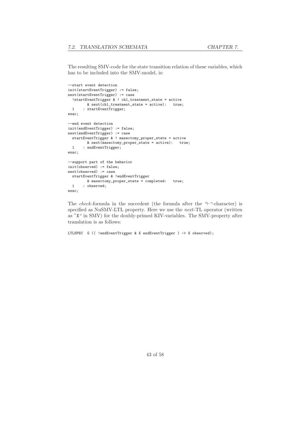The resulting SMV-code for the state transition relation of these variables, which has to be included into the SMV-model, is:

```
--start event detection
init(startEventTrigger) := false;
next(startEventTrigger) := case
  !startEventTrigger & ! ch1_treatment_state = active
        \& next(ch1_treatment_state = active): true;
 1 : startEventTrigger;
esac;
--end event detection
init(endEventTrigger) := false;
next(endEventTrigger) := case
 startEventTrigger & ! masectomy_proper_state = active
        & next(masectomy_proper_state = active): true;
 1 : endEventTrigger;
esac;
--support part of the behavior
init(observed) := false;
next(observed) := case
 startEventTrigger & !endEventTrigger
        & masectomy_proper_state = completed: true;
 1 : observed;
esac;
```
The check-formula in the succedent (the formula after the "⊢"-character) is specified as NuSMV-LTL property. Here we use the next-TL operator (written as "X" in SMV) for the doubly-primed KIV-variables. The SMV-property after translation is as follows:

LTLSPEC G (( !endEventTrigger & X endEventTrigger ) -> X observed);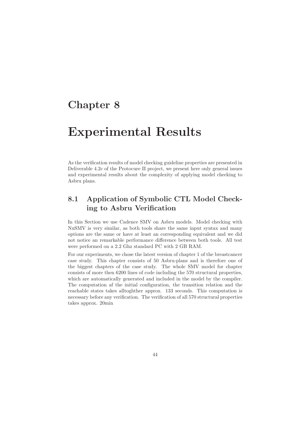## Chapter 8

## Experimental Results

As the verification results of model checking guideline properties are presented in Deliverable 4.2c of the Protocure II project, we present here only general issues and experimental results about the complexity of applying model checking to Asbru plans.

## 8.1 Application of Symbolic CTL Model Checking to Asbru Verification

In this Section we use Cadence SMV on Asbru models. Model checking with NuSMV is very similar, as both tools share the same input syntax and many options are the same or have at least an corresponding equivalent and we did not notice an remarkable performance difference between both tools. All test were performed on a 2.2 Ghz standard PC with 2 GB RAM.

For our experiments, we chose the latest version of chapter 1 of the breastcancer case study. This chapter consists of 50 Asbru-plans and is therefore one of the biggest chapters of the case study. The whole SMV model for chapter consists of more then 6200 lines of code including the 570 structural properties, which are automatically generated and included in the model by the compiler. The computation af the initial configuration, the transition relation and the reachable states takes alltoghther approx. 133 seconds. This computation is necessary before any verification. The verification of all 570 structural properties takes approx. 20min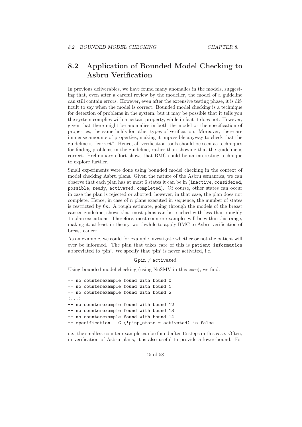## 8.2 Application of Bounded Model Checking to Asbru Verification

In previous deliverables, we have found many anomalies in the models, suggesting that, even after a careful review by the modeller, the model of a guideline can still contain errors. However, even after the extensive testing phase, it is difficult to say when the model is correct. Bounded model checking is a technique for detection of problems in the system, but it may be possible that it tells you the system complies with a certain property, while in fact it does not. However, given that there might be anomalies in both the model or the specification of properties, the same holds for other types of verification. Moreover, there are immense amounts of properties, making it impossible anyway to check that the guideline is "correct". Hence, all verification tools should be seen as techniques for finding problems in the guideline, rather than showing that the guideline is correct. Preliminary effort shows that BMC could be an interesting technique to explore further.

Small experiments were done using bounded model checking in the context of model checking Asbru plans. Given the nature of the Asbru semantics, we can observe that each plan has at most 6 states it can be in (inactive, considered, possible, ready, activated, completed). Of course, other states can occur in case the plan is rejected or aborted, however, in that case, the plan does not complete. Hence, in case of  $n$  plans executed in sequence, the number of states is restricted by 6n. A rough estimate, going through the models of the breast cancer guideline, shows that most plans can be reached with less than roughly 15 plan executions. Therefore, most counter-examples will be within this range, making it, at least in theory, worthwhile to apply BMC to Asbru verification of breast cancer.

As an example, we could for example investigate whether or not the patient will ever be informed. The plan that takes care of this is patient-information abbreviated to 'pin'. We specify that 'pin' is never activated, i.e.:

#### $G$  pin  $\neq$  activated

Using bounded model checking (using NuSMV in this case), we find:

```
-- no counterexample found with bound 0
-- no counterexample found with bound 1
-- no counterexample found with bound 2
(\ldots)-- no counterexample found with bound 12
-- no counterexample found with bound 13
-- no counterexample found with bound 14
-- specification G (!pinp_state = activated) is false
```
i.e., the smallest counter example can be found after 15 steps in this case. Often, in verification of Asbru plans, it is also useful to provide a lower-bound. For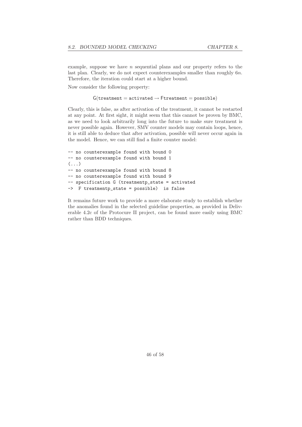example, suppose we have  $n$  sequential plans and our property refers to the last plan. Clearly, we do not expect counterexamples smaller than roughly 6n. Therefore, the iteration could start at a higher bound.

Now consider the following property:

#### $G(treatment = activated \rightarrow Ftreatment = possible)$

Clearly, this is false, as after activation of the treatment, it cannot be restarted at any point. At first sight, it might seem that this cannot be proven by BMC, as we need to look arbitrarily long into the future to make sure treatment is never possible again. However, SMV counter models may contain loops, hence, it is still able to deduce that after activation, possible will never occur again in the model. Hence, we can still find a finite counter model:

```
-- no counterexample found with bound 0
-- no counterexample found with bound 1
\left(\ldots\right)-- no counterexample found with bound 8
-- no counterexample found with bound 9
-- specification G (treatmentp_state = activated
-> F treatmentp_state = possible) is false
```
It remains future work to provide a more elaborate study to establish whether the anomalies found in the selected guideline properties, as provided in Deliverable 4.2c of the Protocure II project, can be found more easily using BMC rather than BDD techniques.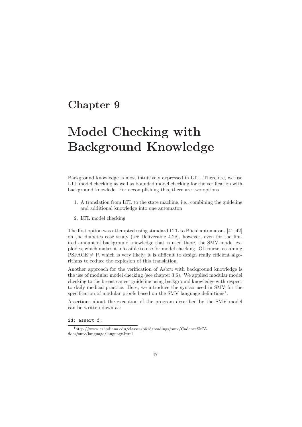## Chapter 9

# Model Checking with Background Knowledge

Background knowledge is most intuitively expressed in LTL. Therefore, we use LTL model checking as well as bounded model checking for the verification with background knowlede. For accomplishing this, there are two options

- 1. A translation from LTL to the state machine, i.e., combining the guideline and additional knowledge into one automaton
- 2. LTL model checking

The first option was attempted using standard LTL to Büchi automatons  $[41, 42]$ on the diabetes case study (see Deliverable 4.2c), however, even for the limited amount of background knowledge that is used there, the SMV model explodes, which makes it infeasible to use for model checking. Of course, assuming PSPACE  $\neq$  P, which is very likely, it is difficult to design really efficient algorithms to reduce the explosion of this translation.

Another approach for the verification of Asbru with background knowledge is the use of modular model checking (see chapter 3.6). We applied modular model checking to the breast cancer guideline using background knowledge with respect to daily medical practice. Here, we introduce the syntax used in SMV for the specification of modular proofs based on the SMV language definitions<sup>1</sup>.

Assertions about the execution of the program described by the SMV model can be written down as:

id: assert f;

 $^1$ http://www.cs.indiana.edu/classes/p515/readings/smv/CadenceSMVdocs/smv/language/language.html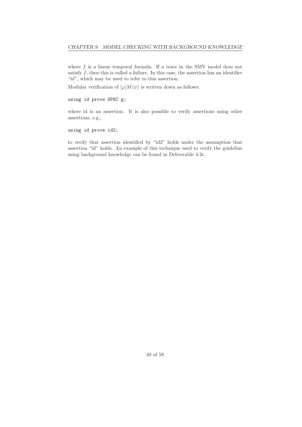where  $f$  is a linear temporal formula. If a trace in the SMV model does not satisfy  $f$ , then this is called a failure. In this case, the assertion has an identifier "id", which may be used to refer to this assertion.

Modular verification of  $\varphi$   $M \langle \psi \rangle$  is written down as follows:

using id prove SPEC g;

where id is an assertion. It is also possible to verify assertions using other assertions, e.g.,

using id prove id2;

to verify that assertion identified by "id2" holds under the assumption that assertion "id" holds. An example of this technique used to verify the guideline using background knowledge can be found in Deliverable 4.2c.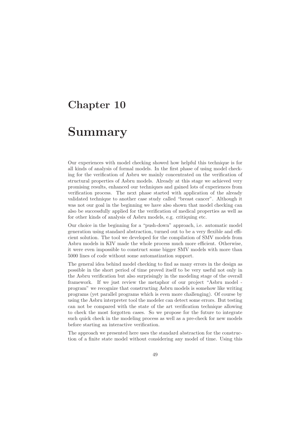## Chapter 10

## Summary

Our experiences with model checking showed how helpful this technique is for all kinds of analysis of formal models. In the first phase of using model checking for the verification of Asbru we mainly concentrated on the verification of structural properties of Asbru models. Already at this stage we achieved very promising results, enhanced our techniques and gained lots of experiences from verification process. The next phase started with application of the already validated technique to another case study called "breast cancer". Although it was not our goal in the beginning we have also shown that model checking can also be successfully applied for the verification of medical properties as well as for other kinds of analysis of Asbru models, e.g. critiquing etc.

Our choice in the beginning for a "push-down" approach, i.e. automatic model generation using standard abstraction, turned out to be a very flexible and efficient solution. The tool we developed for the compilation of SMV models from Asbru models in KIV made the whole process much more efficient. Otherwise, it were even impossible to construct some bigger SMV models with more than 5000 lines of code without some automatization support.

The general idea behind model checking to find as many errors in the design as possible in the short period of time proved itself to be very useful not only in the Asbru verification but also surprisingly in the modeling stage of the overall framework. If we just review the metaphor of our project "Asbru model program" we recognize that constructing Asbru models is somehow like writing programs (yet parallel programs which is even more challenging). Of course by using the Asbru interpreter tool the modeler can detect some errors. But testing can not be compared with the state of the art verification technique allowing to check the most forgotten cases. So we propose for the future to integrate such quick check in the modeling process as well as a pre-check for new models before starting an interactive verification.

The approach we presented here uses the standard abstraction for the construction of a finite state model without considering any model of time. Using this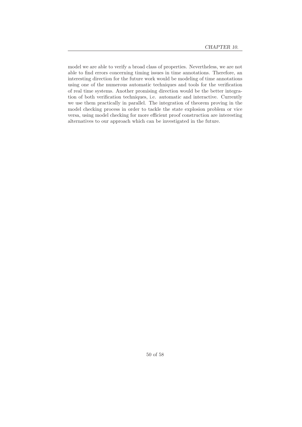model we are able to verify a broad class of properties. Nevertheless, we are not able to find errors concerning timing issues in time annotations. Therefore, an interesting direction for the future work would be modeling of time annotations using one of the numerous automatic techniques and tools for the verification of real time systems. Another promising direction would be the better integration of both verification techniques, i.e. automatic and interactive. Currently we use them practically in parallel. The integration of theorem proving in the model checking process in order to tackle the state explosion problem or vice versa, using model checking for more efficient proof construction are interesting alternatives to our approach which can be investigated in the future.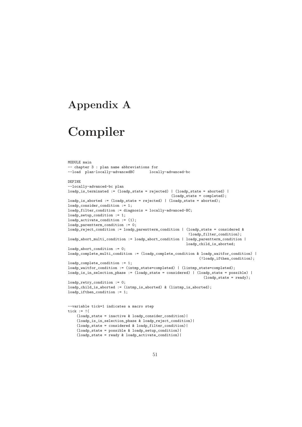## Appendix A

# Compiler

```
MODULE main
-- chapter 3 : plan name abbreviations for
--load plan-locally-advancedBC locally-advanced-bc
DEFINE
--locally-advanced-bc plan
loadp_is_terminated := (loadp_state = rejected) | (loadp_state = aborted) |
                                                (loadp_state = completed);
loadp_is\_aborted := (loadp\_state = rejected) | (loadp\_state = aborted);loadp_consider_condition := 1;
loadp_filter_condition := diagnosis = locally-advanced-BC;
loadp_setup_condition := 1;
loadp_activate_condition := (1);
loadp_parentterm_condition := 0;
loadp_reject_condition := loadp_parentterm_condition | (loadp_state = considered &
                                                        !loadp_filter_condition);
loadp_abort_multi_condition := loadp_abort_condition | loadp_parentterm_condition |
                                                       loadp_child_is_aborted;
loadp_abort_condition := 0;
loadp_complete_multi_condition := (loadp_complete_condition & loadp_waitfor_condition) |
                                                             (!loadp_ifthen_condition);
loadp_complete_condition := 1;
loadp_waitfor_condition := (intmp_state=completed) | (lintmp_state=completed);
loadp_is_in_selection_phase := (loadp_state = considered) | (loadp_state = possible) |
                                                               (loadp\_state = ready);loadp_retry_condition := 0;
loadp_child_is_aborted := (intmp_is_aborted) & (lintmp_is_aborted);
loadp_ifthen_condition := 1;
--variable tick=1 indicates a macro step
tick := !(
    (loadp_state = inactive & loadp_consider_condition)|
    (loadp_is_in_selection_phase & loadp_reject_condition)|
    (loadp_state = considered & loadp_filter_condition)|
    (loadp_state = possible & loadp_setup_condition)|
    (loadp_state = ready & loadp_activate_condition)|
```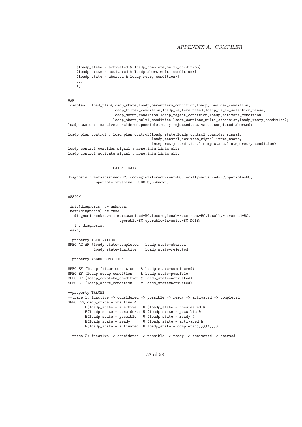```
(loadp_state = activated & loadp_complete_multi_condition)|
    (loadp_state = activated & loadp_abort_multi_condition)|
    (loadp_state = aborted & loadp_retry_condition)|
    ...
    );
VAR
loadplan : load_plan(loadp_state,loadp_parentterm_condition,loadp_consider_condition,
                     loadp_filter_condition,loadp_is_terminated,loadp_is_in_selection_phase,
                     loadp_setup_condition,loadp_reject_condition,loadp_activate_condition,
                     loadp_abort_multi_condition,loadp_complete_multi_condition,loadp_retry_condition);
loadp_state : inactive,considered,possible,ready,rejected,activated,completed,aborted;
loadp_plan_control : load_plan_control(loadp_state,loadp_control_consider_signal,
                                       loadp_control_activate_signal,intmp_state,
                                       intmp_retry_condition,lintmp_state,lintmp_retry_condition);
loadp_control_consider_signal : none,intm,lintm,all;
loadp_control_activate_signal : none,intm,lintm,all;
----------------------------------------------------------
-------------------- PATENT DATA--------------------------
----------------------------------------------------------
diagnosis : metastasised-BC,locoregional-recurrent-BC,locally-advanced-BC,operable-BC,
            operable-invasive-BC,DCIS,unknown;
ASSIGN
 init(diagnosis) := unknown;
next(diagnosis) := case
  diagnosis=unknown : metastasised-BC,locoregional-recurrent-BC,locally-advanced-BC,
                       operable-BC,operable-invasive-BC,DCIS;
   1 : diagnosis;
esac;
--property TERMINATION
SPEC AG AF (loadp_state=completed | loadp_state=aborted |
            loadp state=inactive | loadp state=rejected)
--property ASBRU-CONDITION
SPEC EF (loadp_filter_condition & loadp_state=considered)
SPEC EF (loadp_setup_condition & loadp_state=possible)
SPEC EF (loadp_complete_condition & loadp_state=activated)
SPEC EF (loadp_abort_condition & loadp_state=activated)
--property TRACES
--trace 1: inactive -> considered -> possible -> ready -> activated -> completed
SPEC EF(loadp_state = inactive &
        E(loadp_state = inactive U (loadp_state = considered &
        E(\text{loadp\_state = considered U (loadp\_state = possible kE(loadp_state = possible U (loadp_state = ready &
        E(loadp\_state = ready \t U (loadp\_state = activated \t kE(\text{loadp state = activated U loadp state = completed}))))))))--trace 2: inactive -> considered -> possible -> ready -> activated -> aborted
```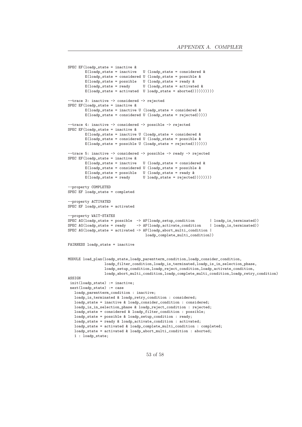```
SPEC EF(loadp_state = inactive &<br>E(loadp_state = inactive
                                     U (loadp_state = considered \&E(\text{loadp\_state = considered U (loadp\_state = possible \&E(\text{loadp\_state = possible U (\text{loadp\_state = ready } kE(\text{loadp\_state = ready} U (loadp_state = activated &
        E(\text{loadp\_state = activated U loadp\_state = aborted}))))))))))--trace 3: inactive -> considered -> rejected
SPEC EF(loadp_state = inactive &
        E(\text{loadp\_state = inactive U (loadp\_state = considered kE(loadp\_state = considered U (loadp\_state = rejected))))--trace 4: inactive -> considered -> possible -> rejected
SPEC EF(loadp_state = inactive &
         E(loadp_state = inactive U (loadp_state = considered &
        E(loadp_state = considered U (loadp_state = possible &
        E(loadp\_state = possible U (loadp\_state = rejected))))))--trace 5: inactive -> considered -> possible -> ready -> rejected
SPEC EF(loadp_state = inactive \&E(\text{loadp\_state = inactive U (loadp\_state = considered kE(loadp_state = considered U (loadp_state = possible &
        E(loadp_state = possible U (loadp_state = ready &<br>E(loadp_state = ready U loadp_state = rejected)
                                     U loadp_state = rejected)))))))))
--property COMPLETED
SPEC EF loadp_state = completed
--property ACTIVATED
SPEC EF loadp_state = activated
--property WAIT-STATES
SPEC AG(loadp\_state = possible \rightarrow AF(loadp\_setup\_contination | loadp_is_terminated))<br>SPEC AG(loadp\_state = ready \rightarrow AF(loadp\_activated\_continate\_condition | loadp_is_terminated))
SPEC AG(loadp\_state = ready \rightarrow AF(loadp\_activated\_conditionSPEC AG(loadp_state = activated -> AF(loadp_abort_multi_condition |
                                       loadp_complete_multi_condition))
FAIRNESS loadp_state = inactive
MODULE load_plan(loadp_state,loadp_parentterm_condition,loadp_consider_condition,
                  loadp_filter_condition,loadp_is_terminated,loadp_is_in_selection_phase,
                  loadp_setup_condition,loadp_reject_condition,loadp_activate_condition,
                  loadp_abort_multi_condition,loadp_complete_multi_condition,loadp_retry_condition)
ASSIGN
 init(loadp_state) := inactive;
next(loadp state) := caseloadp_parentterm_condition : inactive;
   loadp_is_terminated & loadp_retry_condition : considered;
   loadp_state = inactive & loadp_consider_condition : considered;
   loadp_is_in_selection_phase & loadp_reject_condition : rejected;
   loadp_state = considered & loadp_filter_condition : possible;
   loadp_state = possible & loadp_setup_condition : ready;
   loadp_state = ready & loadp_activate_condition : activated;
   loadp_state = activated & loadp_complete_multi_condition : completed;
   loadp_state = activated & loadp_abort_multi_condition : aborted;
   1 : loadp_state;
```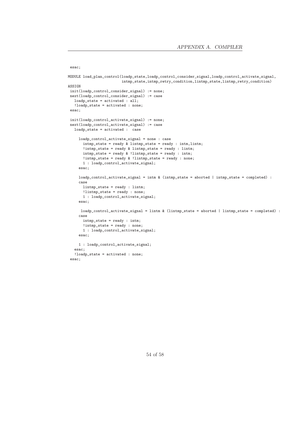```
MODULE load_plan_control(loadp_state,loadp_control_consider_signal,loadp_control_activate_signal,
                         intmp_state,intmp_retry_condition,lintmp_state,lintmp_retry_condition)
ASSIGN
init(loadp_control_consider_signal) := none;
next(loadp_control_consider_signal) := case
  loadp_state = activated : all;
  !loadp_state = activated : none;
esac;
init(loadp_control_activate_signal) := none;
next(loadp_control_activate_signal) := case
  loadp_state = activated : case
     loadp_control_activate_signal = none : case
       intmp_state = ready & lintmp_state = ready : intm,lintm;
       !intmp_state = ready & lintmp_state = ready : lintm;
      intmp_state = ready & !lintmp_state = ready : intm;
      !intmp_state = ready & !lintmp_state = ready : none;
      1 : loadp_control_activate_signal;
     esac;
     loadp_control_activate_signal = intm & (intmp_state = aborted | intmp_state = completed) :
     case
      lintmp_state = ready : lintm;
      !lintmp_state = ready : none;
      1 : loadp_control_activate_signal;
     esac;
     loadp_control_activate_signal = lintm & (lintmp_state = aborted | lintmp_state = completed) :
     case
      intmp_state = ready : intm;
      !intmp_state = ready : none;
      1 : loadp_control_activate_signal;
     esac;
     1 : loadp_control_activate_signal;
   esac;
   !loadp_state = activated : none;
esac;
```
esac;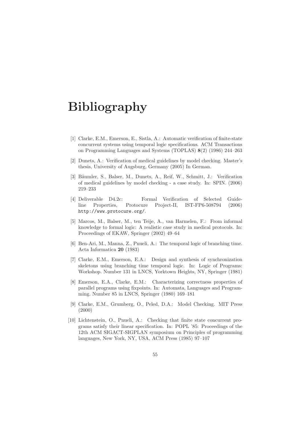# Bibliography

- [1] Clarke, E.M., Emerson, E., Sistla, A.: Automatic verification of finite-state concurrent systems using temporal logic specifications. ACM Transactions on Programming Languages and Systems (TOPLAS) 8(2) (1986) 244–263
- [2] Dunets, A.: Verification of medical guidelines by model checking. Master's thesis, University of Augsburg, Germany (2005) In German.
- [3] Bäumler, S., Balser, M., Dunets, A., Reif, W., Schmitt, J.: Verification of medical guidelines by model checking - a case study. In: SPIN. (2006) 219–233
- [4] Deliverable D4.2c: Formal Verification of Selected Guideline Properties, Protocure Project-II, IST-FP6-508794 (2006) http://www.protocure.org/.
- [5] Marcos, M., Balser, M., ten Teije, A., van Harmelen, F.: From informal knowledge to formal logic: A realistic case study in medical protocols. In: Proceedings of EKAW, Springer (2002) 49–64
- [6] Ben-Ari, M., Manna, Z., Pnueli, A.: The temporal logic of branching time. Acta Informatica 20 (1983)
- [7] Clarke, E.M., Emerson, E.A.: Design and synthesis of synchronization skeletons using branching time temporal logic. In: Logic of Programs: Workshop. Number 131 in LNCS, Yorktown Heights, NY, Springer (1981)
- [8] Emerson, E.A., Clarke, E.M.: Characterizing correctness properties of parallel programs using fixpoints. In: Automata, Languages and Programming. Number 85 in LNCS, Springer (1980) 169–181
- [9] Clarke, E.M., Grumberg, O., Peled, D.A.: Model Checking. MIT Press (2000)
- [10] Lichtenstein, O., Pnueli, A.: Checking that finite state concurrent programs satisfy their linear specification. In: POPL '85: Proceedings of the 12th ACM SIGACT-SIGPLAN symposium on Principles of programming languages, New York, NY, USA, ACM Press (1985) 97–107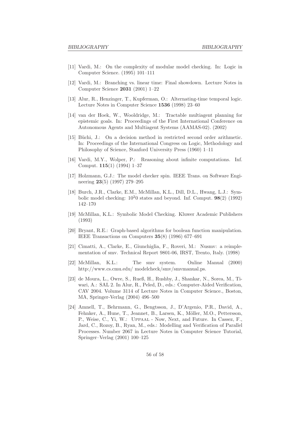- [11] Vardi, M.: On the complexity of modular model checking. In: Logic in Computer Science. (1995) 101–111
- [12] Vardi, M.: Branching vs. linear time: Final showdown. Lecture Notes in Computer Science 2031 (2001) 1–22
- [13] Alur, R., Henzinger, T., Kupferman, O.: Alternating-time temporal logic. Lecture Notes in Computer Science 1536 (1998) 23–60
- [14] van der Hoek, W., Wooldridge, M.: Tractable multiagent planning for epistemic goals. In: Proceedings of the First International Conference on Autonomous Agents and Multiagent Systems (AAMAS-02). (2002)
- [15] Büchi, J.: On a decision method in restricted second order arithmetic. In: Proceedings of the International Congress on Logic, Methodology and Philosophy of Science, Stanford University Press (1960) 1–11
- [16] Vardi, M.Y., Wolper, P.: Reasoning about infinite computations. Inf. Comput. 115(1) (1994) 1–37
- [17] Holzmann, G.J.: The model checker spin. IEEE Trans. on Software Engineering 23(5) (1997) 279–295
- [18] Burch, J.R., Clarke, E.M., McMillan, K.L., Dill, D.L., Hwang, L.J.: Symbolic model checking:  $10^20$  states and beyond. Inf. Comput.  $98(2)$  (1992) 142–170
- [19] McMillan, K.L.: Symbolic Model Checking. Kluwer Academic Publishers (1993)
- [20] Bryant, R.E.: Graph-based algorithms for boolean function manipulation. IEEE Transactions on Computers 35(8) (1986) 677–691
- [21] Cimatti, A., Clarke, E., Giunchiglia, F., Roveri, M.: Nusmv: a reimplementation of smv. Technical Report 9801-06, IRST, Trento, Italy. (1998)
- [22] McMillan, K.L.: The smv system. Online Manual (2000) http://www.cs.cmu.edu/ modelcheck/smv/smvmanual.ps.
- [23] de Moura, L., Owre, S., Rueß, H., Rushby, J., Shankar, N., Sorea, M., Tiwari, A.: SAL 2. In Alur, R., Peled, D., eds.: Computer-Aided Verification, CAV 2004. Volume 3114 of Lecture Notes in Computer Science., Boston, MA, Springer-Verlag (2004) 496–500
- [24] Amnell, T., Behrmann, G., Bengtsson, J., D'Argenio, P.R., David, A., Fehnker, A., Hune, T., Jeannet, B., Larsen, K., Möller, M.O., Pettersson, P., Weise, C., Yi, W.: Uppaal - Now, Next, and Future. In Cassez, F., Jard, C., Rozoy, B., Ryan, M., eds.: Modelling and Verification of Parallel Processes. Number 2067 in Lecture Notes in Computer Science Tutorial, Springer–Verlag (2001) 100–125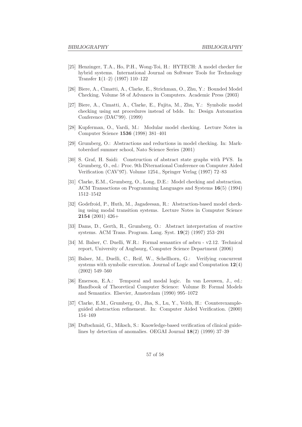- [25] Henzinger, T.A., Ho, P.H., Wong-Toi, H.: HYTECH: A model checker for hybrid systems. International Journal on Software Tools for Technology Transfer 1(1–2) (1997) 110–122
- [26] Biere, A., Cimatti, A., Clarke, E., Strichman, O., Zhu, Y.: Bounded Model Checking. Volume 58 of Advances in Computers. Academic Press (2003)
- [27] Biere, A., Cimatti, A., Clarke, E., Fujita, M., Zhu, Y.: Symbolic model checking using sat procedures instead of bdds. In: Design Automation Conference (DAC'99). (1999)
- [28] Kupferman, O., Vardi, M.: Modular model checking. Lecture Notes in Computer Science 1536 (1998) 381–401
- [29] Grumberg, O.: Abstractions and reductions in model checking. In: Marktoberdorf summer school, Nato Science Series (2001)
- [30] S. Graf, H. Saidi: Construction of abstract state graphs with PVS. In Grumberg, O., ed.: Proc. 9th INternational Conference on Computer Aided Verification (CAV'97). Volume 1254., Springer Verlag (1997) 72–83
- [31] Clarke, E.M., Grumberg, O., Long, D.E.: Model checking and abstraction. ACM Transactions on Programming Languages and Systems 16(5) (1994) 1512–1542
- [32] Godefroid, P., Huth, M., Jagadeesan, R.: Abstraction-based model checking using modal transition systems. Lecture Notes in Computer Science 2154 (2001) 426+
- [33] Dams, D., Gerth, R., Grumberg, O.: Abstract interpretation of reactive systems. ACM Trans. Program. Lang. Syst. 19(2) (1997) 253–291
- [34] M. Balser, C. Duelli, W.R.: Formal semantics of asbru v2.12. Technical report, University of Augbsurg, Computer Science Department (2006)
- [35] Balser, M., Duelli, C., Reif, W., Schellhorn, G.: Verifying concurrent systems with symbolic execution. Journal of Logic and Computation 12(4) (2002) 549–560
- [36] Emerson, E.A.: Temporal and modal logic. In van Leeuwen, J., ed.: Handbook of Theoretical Computer Science: Volume B: Formal Models and Semantics. Elsevier, Amsterdam (1990) 995–1072
- [37] Clarke, E.M., Grumberg, O., Jha, S., Lu, Y., Veith, H.: Counterexampleguided abstraction refinement. In: Computer Aided Verification. (2000) 154–169
- [38] Duftschmid, G., Miksch, S.: Knowledge-based verification of clinical guidelines by detection of anomalies. OEGAI Journal 18(2) (1999) 37–39